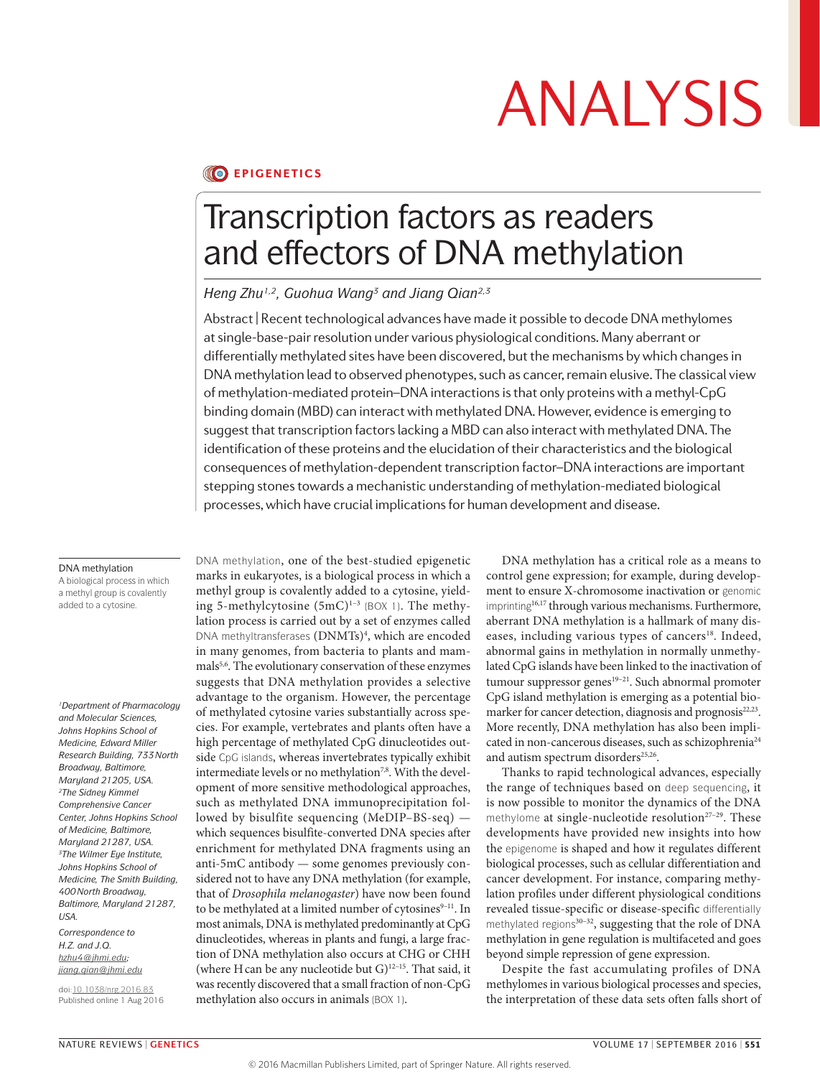### **CO EPIGENETICS**

## Transcription factors as readers and effectors of DNA methylation

### *Heng Zhu1,2, Guohua Wang3 and Jiang Qian2,3*

Abstract | Recent technological advances have made it possible to decode DNA methylomes at single-base-pair resolution under various physiological conditions. Many aberrant or differentially methylated sites have been discovered, but the mechanisms by which changes in DNA methylation lead to observed phenotypes, such as cancer, remain elusive. The classical view of methylation-mediated protein–DNA interactions is that only proteins with a methyl-CpG binding domain (MBD) can interact with methylated DNA. However, evidence is emerging to suggest that transcription factors lacking a MBD can also interact with methylated DNA. The identification of these proteins and the elucidation of their characteristics and the biological consequences of methylation-dependent transcription factor–DNA interactions are important stepping stones towards a mechanistic understanding of methylation-mediated biological processes, which have crucial implications for human development and disease.

#### DNA methylation

A biological process in which a methyl group is covalently added to a cytosine.

*1Department of Pharmacology and Molecular Sciences, Johns Hopkins School of Medicine, Edward Miller Research Building, 733North Broadway, Baltimore, Maryland 21205, USA. 2The Sidney Kimmel Comprehensive Cancer Center, Johns Hopkins School of Medicine, Baltimore, Maryland 21287, USA. 3The Wilmer Eye Institute, Johns Hopkins School of Medicine, The Smith Building, 400North Broadway, Baltimore, Maryland 21287, USA.*

*Correspondence to H.Z. and J.Q. [hzhu4@jhmi.edu](mailto:hzhu4%40jhmi.edu?subject=); [jiang.qian@jhmi.edu](mailto:jiang.qian%40jhmi.edu?subject=)*

doi:[10.1038/nrg.2016.83](http://dx.doi.org/10.1038/nrg.2016.83) Published online 1 Aug 2016 DNA methylation, one of the best-studied epigenetic marks in eukaryotes, is a biological process in which a methyl group is covalently added to a cytosine, yielding 5-methylcytosine  $(5mC)^{1-3}$  (BOX 1). The methylation process is carried out by a set of enzymes called DNA methyltransferases (DNMTs)<sup>4</sup>, which are encoded in many genomes, from bacteria to plants and mammals5,6 . The evolutionary conservation of these enzymes suggests that DNA methylation provides a selective advantage to the organism. However, the percentage of methylated cytosine varies substantially across species. For example, vertebrates and plants often have a high percentage of methylated CpG dinucleotides outside CpG islands, whereas invertebrates typically exhibit intermediate levels or no methylation<sup>7,8</sup>. With the development of more sensitive methodological approaches, such as methylated DNA immunoprecipitation followed by bisulfite sequencing (MeDIP–BS-seq) which sequences bisulfite-converted DNA species after enrichment for methylated DNA fragments using an anti-5mC antibody — some genomes previously considered not to have any DNA methylation (for example, that of *Drosophila melanogaster*) have now been found to be methylated at a limited number of cytosines<sup>9-11</sup>. In most animals, DNA is methylated predominantly at CpG dinucleotides, whereas in plants and fungi, a large fraction of DNA methylation also occurs at CHG or CHH (where H can be any nucleotide but  $G$ )<sup>12-15</sup>. That said, it was recently discovered that a small fraction of non-CpG methylation also occurs in animals (BOX 1).

DNA methylation has a critical role as a means to control gene expression; for example, during development to ensure X-chromosome inactivation or genomic imprinting16,17 through various mechanisms. Furthermore, aberrant DNA methylation is a hallmark of many diseases, including various types of cancers<sup>18</sup>. Indeed, abnormal gains in methylation in normally unmethylated CpG islands have been linked to the inactivation of tumour suppressor genes<sup>19-21</sup>. Such abnormal promoter CpG island methylation is emerging as a potential biomarker for cancer detection, diagnosis and prognosis<sup>22,23</sup>. More recently, DNA methylation has also been implicated in non-cancerous diseases, such as schizophrenia<sup>24</sup> and autism spectrum disorders<sup>25,26</sup>.

Thanks to rapid technological advances, especially the range of techniques based on deep sequencing, it is now possible to monitor the dynamics of the DNA methylome at single-nucleotide resolution<sup>27-29</sup>. These developments have provided new insights into how the epigenome is shaped and how it regulates different biological processes, such as cellular differentiation and cancer development. For instance, comparing methylation profiles under different physiological conditions revealed tissue-specific or disease-specific differentially methylated regions<sup>30-32</sup>, suggesting that the role of DNA methylation in gene regulation is multifaceted and goes beyond simple repression of gene expression.

Despite the fast accumulating profiles of DNA methylomes in various biological processes and species, the interpretation of these data sets often falls short of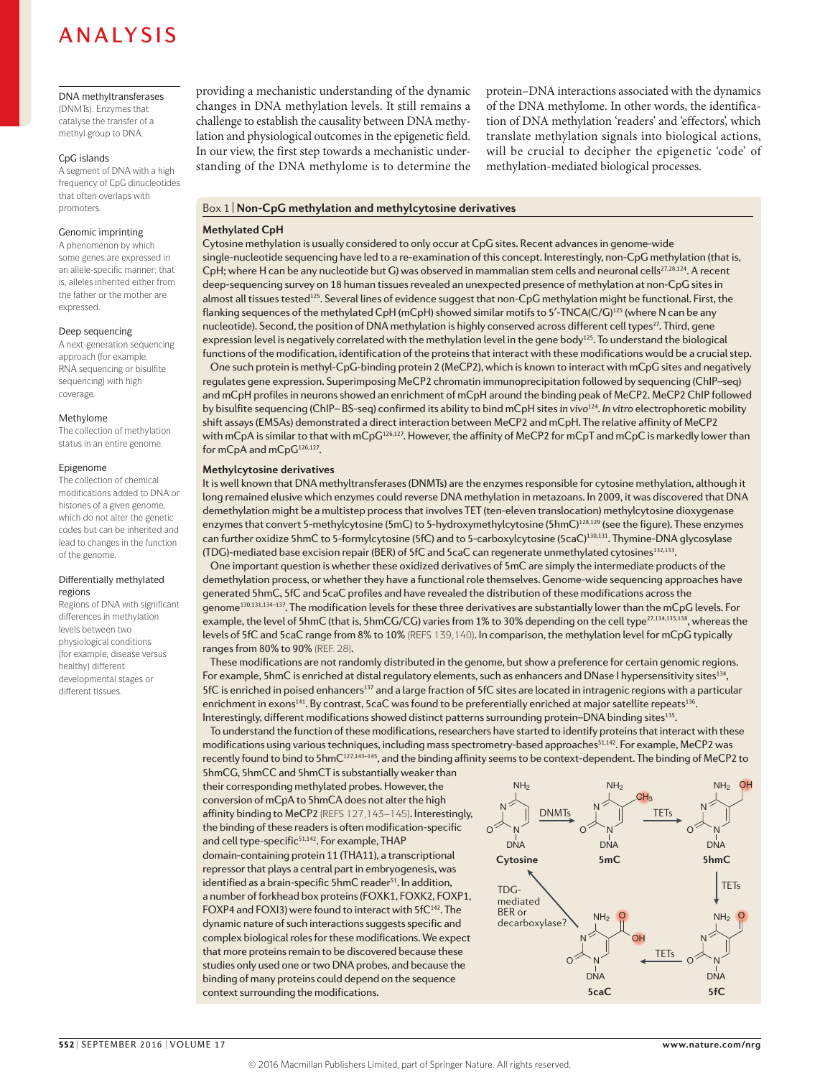#### DNA methyltransferases (DNMTs). Enzymes that

catalyse the transfer of a methyl group to DNA.

### CpG islands

A segment of DNA with a high frequency of CpG dinucleotides that often overlaps with promoters.

### Genomic imprinting

A phenomenon by which some genes are expressed in an allele-specific manner; that is, alleles inherited either from the father or the mother are expressed.

### Deep sequencing

A next-generation sequencing approach (for example, RNA sequencing or bisulfite sequencing) with high coverage.

### Methylome

The collection of methylation status in an entire genome.

### Epigenome

The collection of chemical modifications added to DNA or histones of a given genome, which do not alter the genetic codes but can be inherited and lead to changes in the function of the genome.

#### Differentially methylated regions

Regions of DNA with significant differences in methylation levels between two physiological conditions (for example, disease versus healthy) different developmental stages or different tissues.

providing a mechanistic understanding of the dynamic changes in DNA methylation levels. It still remains a challenge to establish the causality between DNA methylation and physiological outcomes in the epigenetic field. In our view, the first step towards a mechanistic understanding of the DNA methylome is to determine the protein–DNA interactions associated with the dynamics of the DNA methylome. In other words, the identification of DNA methylation 'readers' and 'effectors', which translate methylation signals into biological actions, will be crucial to decipher the epigenetic 'code' of methylation-mediated biological processes.

### Box 1 | **Non-CpG methylation and methylcytosine derivatives**

### **Methylated CpH**

Cytosine methylation is usually considered to only occur at CpG sites. Recent advances in genome-wide single-nucleotide sequencing have led to a re-examination of this concept. Interestingly, non-CpG methylation (that is, CpH; where H can be any nucleotide but G) was observed in mammalian stem cells and neuronal cells<sup>27,28,124</sup>. A recent deep-sequencing survey on 18 human tissues revealed an unexpected presence of methylation at non-CpG sites in almost all tissues tested<sup>125</sup>. Several lines of evidence suggest that non-CpG methylation might be functional. First, the flanking sequences of the methylated CpH (mCpH) showed similar motifs to 5'-TNCA(C/G)<sup>125</sup> (where N can be any nucleotide). Second, the position of DNA methylation is highly conserved across different cell types<sup>27</sup>. Third, gene expression level is negatively correlated with the methylation level in the gene body<sup>125</sup>. To understand the biological functions of the modification, identification of the proteins that interact with these modifications would be a crucial step.

One such protein is methyl-CpG-binding protein 2 (MeCP2), which is known to interact with mCpG sites and negatively regulates gene expression. Superimposing MeCP2 chromatin immunoprecipitation followed by sequencing (ChIP–seq) and mCpH profiles in neurons showed an enrichment of mCpH around the binding peak of MeCP2. MeCP2 ChIP followed by bisulfite sequencing (ChIP– BS-seq) confirmed its ability to bind mCpH sites *in vivo*124. *In vitro* electrophoretic mobility shift assays (EMSAs) demonstrated a direct interaction between MeCP2 and mCpH. The relative affinity of MeCP2 with mCpA is similar to that with mCpG<sup>126,127</sup>. However, the affinity of MeCP2 for mCpT and mCpC is markedly lower than for mCpA and mCpG<sup>126,127</sup>.

### **Methylcytosine derivatives**

It is well known that DNA methyltransferases (DNMTs) are the enzymes responsible for cytosine methylation, although it long remained elusive which enzymes could reverse DNA methylation in metazoans. In 2009, it was discovered that DNA demethylation might be a multistep process that involves TET (ten-eleven translocation) methylcytosine dioxygenase enzymes that convert 5-methylcytosine (5mC) to 5-hydroxymethylcytosine (5hmC)<sup>128,129</sup> (see the figure). These enzymes can further oxidize 5hmC to 5-formylcytosine (5fC) and to 5-carboxylcytosine (5caC)130,131. Thymine-DNA glycosylase (TDG)-mediated base excision repair (BER) of 5fC and 5caC can regenerate unmethylated cytosines<sup>132,133</sup>.

One important question is whether these oxidized derivatives of 5mC are simply the intermediate products of the demethylation process, or whether they have a functional role themselves. Genome-wide sequencing approaches have generated 5hmC, 5fC and 5caC profiles and have revealed the distribution of these modifications across the genome130,131,134–137. The modification levels for these three derivatives are substantially lower than the mCpG levels. For example, the level of 5hmC (that is, 5hmCG/CG) varies from 1% to 30% depending on the cell type<sup>27,134,135,138</sup>, whereas the levels of 5fC and 5caC range from 8% to 10% (REFS 139,140). In comparison, the methylation level for mCpG typically ranges from 80% to 90% (REF. 28).

These modifications are not randomly distributed in the genome, but show a preference for certain genomic regions. For example, 5hmC is enriched at distal regulatory elements, such as enhancers and DNase I hypersensitivity sites<sup>134</sup>, 5fC is enriched in poised enhancers<sup>137</sup> and a large fraction of 5fC sites are located in intragenic regions with a particular enrichment in exons<sup>141</sup>. By contrast, 5caC was found to be preferentially enriched at major satellite repeats<sup>136</sup>. Interestingly, different modifications showed distinct patterns surrounding protein–DNA binding sites135.

To understand the function of these modifications, researchers have started to identify proteins that interact with these modifications using various techniques, including mass spectrometry-based approaches<sup>51,142</sup>. For example, MeCP2 was recently found to bind to 5hmC127,143–145, and the binding affinity seems to be context-dependent. The binding of MeCP2 to

5hmCG, 5hmCC and 5hmCT is substantially weaker than their corresponding methylated probes. However, the conversion of mCpA to 5hmCA does not alter the high affinity binding to MeCP2 (REFS 127,143–145). Interestingly, the binding of these readers is often modification-specific and cell type-specific<sup>51,142</sup>. For example, THAP domain-containing protein 11 (THA11), a transcriptional repressor that plays a central part in embryogenesis, was identified as a brain-specific 5hmC reader<sup>51</sup>. In addition, a number of forkhead box proteins (FOXK1, FOXK2, FOXP1, FOXP4 and FOXI3) were found to interact with 5fC<sup>142</sup>. The dynamic nature of such interactions suggests specific and complex biological roles for these modifications. We expect that more proteins remain to be discovered because these studies only used one or two DNA probes, and because the binding of many proteins could depend on the sequence context surrounding the modifications.

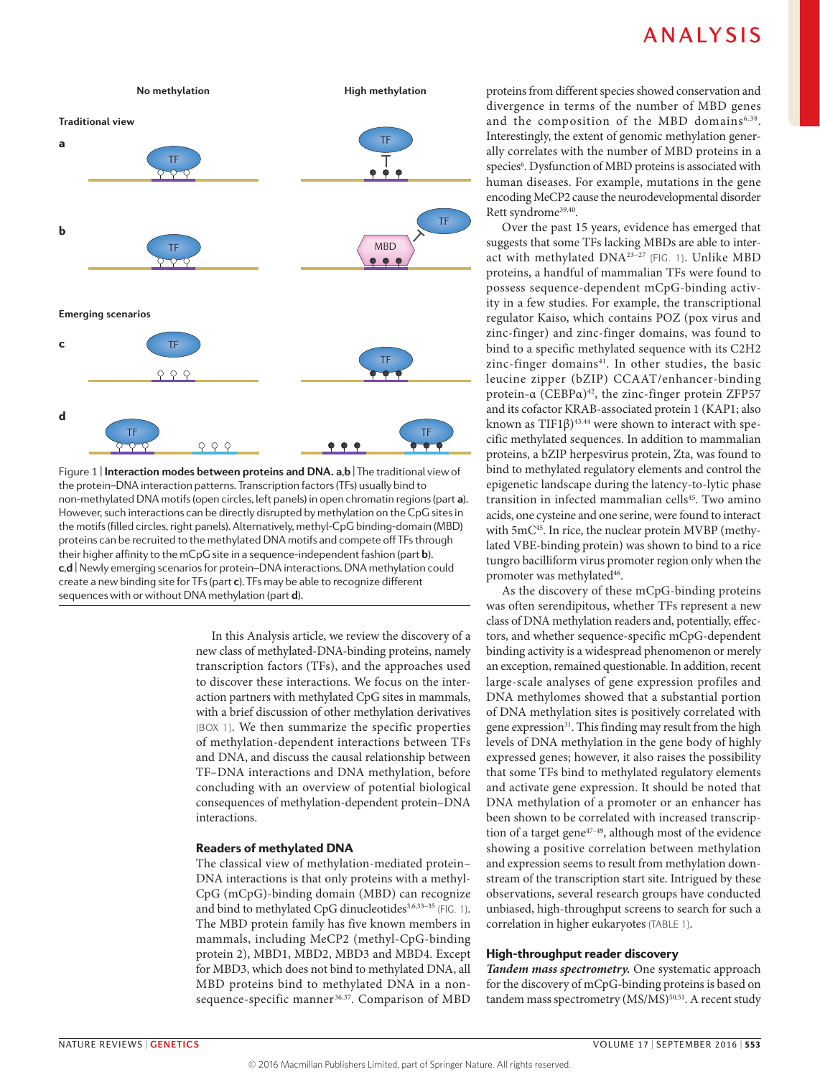

**Nature Reviews** | **Genetics** non-methylated DNA motifs (open circles, left panels) in open chromatin regions (part **a**). Figure 1 | **Interaction modes between proteins and DNA. a**,**b** | The traditional view of the protein–DNA interaction patterns. Transcription factors (TFs) usually bind to However, such interactions can be directly disrupted by methylation on the CpG sites in the motifs (filled circles, right panels). Alternatively, methyl-CpG binding-domain (MBD) proteins can be recruited to the methylated DNA motifs and compete off TFs through their higher affinity to the mCpG site in a sequence-independent fashion (part **b**). **c**,**d** | Newly emerging scenarios for protein–DNA interactions. DNA methylation could create a new binding site for TFs (part **c**). TFs may be able to recognize different sequences with or without DNA methylation (part **d**).

In this Analysis article, we review the discovery of a new class of methylated-DNA-binding proteins, namely transcription factors (TFs), and the approaches used to discover these interactions. We focus on the interaction partners with methylated CpG sites in mammals, with a brief discussion of other methylation derivatives (BOX 1). We then summarize the specific properties of methylation-dependent interactions between TFs and DNA, and discuss the causal relationship between TF–DNA interactions and DNA methylation, before concluding with an overview of potential biological consequences of methylation-dependent protein–DNA interactions.

### Readers of methylated DNA

The classical view of methylation-mediated protein– DNA interactions is that only proteins with a methyl-CpG (mCpG)-binding domain (MBD) can recognize and bind to methylated CpG dinucleotides<sup>3,6,33-35</sup> (FIG. 1). The MBD protein family has five known members in mammals, including MeCP2 (methyl-CpG-binding protein 2), MBD1, MBD2, MBD3 and MBD4. Except for MBD3, which does not bind to methylated DNA, all MBD proteins bind to methylated DNA in a nonsequence-specific manner<sup>36,37</sup>. Comparison of MBD

proteins from different species showed conservation and divergence in terms of the number of MBD genes and the composition of the MBD domains<sup>6,38</sup>. Interestingly, the extent of genomic methylation generally correlates with the number of MBD proteins in a species<sup>6</sup>. Dysfunction of MBD proteins is associated with human diseases. For example, mutations in the gene encoding MeCP2 cause the neurodevelopmental disorder Rett syndrome<sup>39,40</sup>.

Over the past 15 years, evidence has emerged that suggests that some TFs lacking MBDs are able to interact with methylated DNA<sup>23-27</sup> (FIG. 1). Unlike MBD proteins, a handful of mammalian TFs were found to possess sequence-dependent mCpG-binding activity in a few studies. For example, the transcriptional regulator Kaiso, which contains POZ (pox virus and zinc-finger) and zinc-finger domains, was found to bind to a specific methylated sequence with its C2H2 zinc-finger domains<sup>41</sup>. In other studies, the basic leucine zipper (bZIP) CCAAT/enhancer-binding protein-α (CEBPα)<sup>42</sup>, the zinc-finger protein ZFP57 and its cofactor KRAB-associated protein 1 (KAP1; also known as TIF1 $\beta$ )<sup>43,44</sup> were shown to interact with specific methylated sequences. In addition to mammalian proteins, a bZIP herpesvirus protein, Zta, was found to bind to methylated regulatory elements and control the epigenetic landscape during the latency-to-lytic phase transition in infected mammalian cells<sup>45</sup>. Two amino acids, one cysteine and one serine, were found to interact with 5mC<sup>45</sup>. In rice, the nuclear protein MVBP (methylated VBE-binding protein) was shown to bind to a rice tungro bacilliform virus promoter region only when the promoter was methylated<sup>46</sup>.

As the discovery of these mCpG-binding proteins was often serendipitous, whether TFs represent a new class of DNA methylation readers and, potentially, effectors, and whether sequence-specific mCpG-dependent binding activity is a widespread phenomenon or merely an exception, remained questionable. In addition, recent large-scale analyses of gene expression profiles and DNA methylomes showed that a substantial portion of DNA methylation sites is positively correlated with gene expression<sup>31</sup>. This finding may result from the high levels of DNA methylation in the gene body of highly expressed genes; however, it also raises the possibility that some TFs bind to methylated regulatory elements and activate gene expression. It should be noted that DNA methylation of a promoter or an enhancer has been shown to be correlated with increased transcription of a target gene<sup>47-49</sup>, although most of the evidence showing a positive correlation between methylation and expression seems to result from methylation downstream of the transcription start site. Intrigued by these observations, several research groups have conducted unbiased, high-throughput screens to search for such a correlation in higher eukaryotes (TABLE 1).

### High-throughput reader discovery

*Tandem mass spectrometry.* One systematic approach for the discovery of mCpG-binding proteins is based on tandem mass spectrometry (MS/MS)<sup>50,51</sup>. A recent study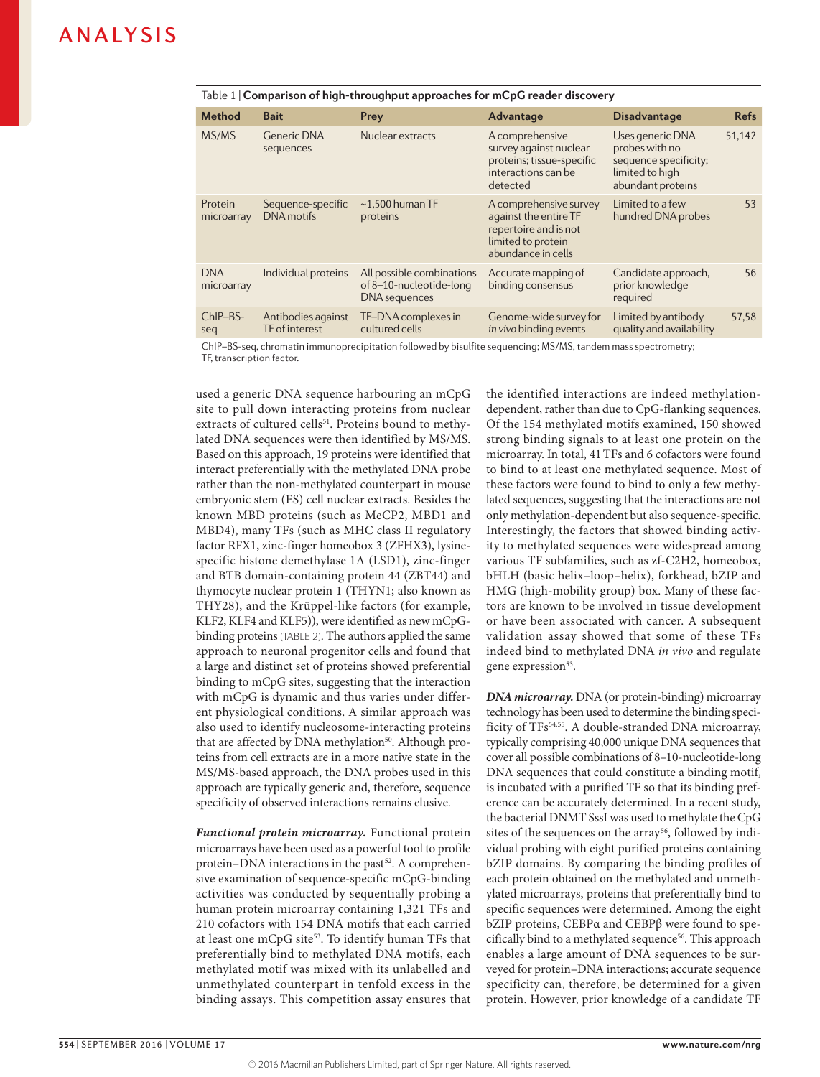| Table 1   Comparison of high-throughput approaches for mCpG reader discovery |  |  |
|------------------------------------------------------------------------------|--|--|
|                                                                              |  |  |

| <b>Method</b>            | <b>Bait</b>                          | Prey                                                                         | Advantage                                                                                                            | <b>Disadvantage</b>                                                                                 | <b>Refs</b> |
|--------------------------|--------------------------------------|------------------------------------------------------------------------------|----------------------------------------------------------------------------------------------------------------------|-----------------------------------------------------------------------------------------------------|-------------|
| MS/MS                    | <b>Generic DNA</b><br>sequences      | Nuclear extracts                                                             | A comprehensive<br>survey against nuclear<br>proteins; tissue-specific<br>interactions can be<br>detected            | Uses generic DNA<br>probes with no<br>sequence specificity;<br>limited to high<br>abundant proteins | 51,142      |
| Protein<br>microarray    | Sequence-specific<br>DNA motifs      | $\sim$ 1.500 human TF<br>proteins                                            | A comprehensive survey<br>against the entire TF<br>repertoire and is not<br>limited to protein<br>abundance in cells | Limited to a few<br>hundred DNA probes                                                              | 53          |
| <b>DNA</b><br>microarray | Individual proteins                  | All possible combinations<br>of 8-10-nucleotide-long<br><b>DNA</b> sequences | Accurate mapping of<br>binding consensus                                                                             | Candidate approach,<br>prior knowledge<br>required                                                  | 56          |
| ChIP-BS-<br>seq          | Antibodies against<br>TF of interest | TF-DNA complexes in<br>cultured cells                                        | Genome-wide survey for<br>in vivo binding events                                                                     | Limited by antibody<br>quality and availability                                                     | 57,58       |

ChIP–BS-seq, chromatin immunoprecipitation followed by bisulfite sequencing; MS/MS, tandem mass spectrometry; TF, transcription factor.

used a generic DNA sequence harbouring an mCpG site to pull down interacting proteins from nuclear extracts of cultured cells<sup>51</sup>. Proteins bound to methylated DNA sequences were then identified by MS/MS. Based on this approach, 19 proteins were identified that interact preferentially with the methylated DNA probe rather than the non-methylated counterpart in mouse embryonic stem (ES) cell nuclear extracts. Besides the known MBD proteins (such as MeCP2, MBD1 and MBD4), many TFs (such as MHC class II regulatory factor RFX1, zinc-finger homeobox 3 (ZFHX3), lysinespecific histone demethylase 1A (LSD1), zinc-finger and BTB domain-containing protein 44 (ZBT44) and thymocyte nuclear protein 1 (THYN1; also known as THY28), and the Krüppel-like factors (for example, KLF2, KLF4 and KLF5)), were identified as new mCpGbinding proteins (TABLE 2). The authors applied the same approach to neuronal progenitor cells and found that a large and distinct set of proteins showed preferential binding to mCpG sites, suggesting that the interaction with mCpG is dynamic and thus varies under different physiological conditions. A similar approach was also used to identify nucleosome-interacting proteins that are affected by DNA methylation<sup>50</sup>. Although proteins from cell extracts are in a more native state in the MS/MS-based approach, the DNA probes used in this approach are typically generic and, therefore, sequence specificity of observed interactions remains elusive.

*Functional protein microarray.* Functional protein microarrays have been used as a powerful tool to profile protein–DNA interactions in the past<sup>52</sup>. A comprehensive examination of sequence-specific mCpG-binding activities was conducted by sequentially probing a human protein microarray containing 1,321 TFs and 210 cofactors with 154 DNA motifs that each carried at least one mCpG site<sup>53</sup>. To identify human TFs that preferentially bind to methylated DNA motifs, each methylated motif was mixed with its unlabelled and unmethylated counterpart in tenfold excess in the binding assays. This competition assay ensures that the identified interactions are indeed methylationdependent, rather than due to CpG-flanking sequences. Of the 154 methylated motifs examined, 150 showed strong binding signals to at least one protein on the microarray. In total, 41TFs and 6 cofactors were found to bind to at least one methylated sequence. Most of these factors were found to bind to only a few methylated sequences, suggesting that the interactions are not only methylation-dependent but also sequence-specific. Interestingly, the factors that showed binding activity to methylated sequences were widespread among various TF subfamilies, such as zf-C2H2, homeobox, bHLH (basic helix–loop–helix), forkhead, bZIP and HMG (high-mobility group) box. Many of these factors are known to be involved in tissue development or have been associated with cancer. A subsequent validation assay showed that some of these TFs indeed bind to methylated DNA *in vivo* and regulate gene expression<sup>53</sup>.

*DNA microarray.* DNA (or protein-binding) microarray technology has been used to determine the binding specificity of TFs<sup>54,55</sup>. A double-stranded DNA microarray, typically comprising 40,000 unique DNA sequences that cover all possible combinations of 8–10-nucleotide-long DNA sequences that could constitute a binding motif, is incubated with a purified TF so that its binding preference can be accurately determined. In a recent study, the bacterial DNMT SssI was used to methylate the CpG sites of the sequences on the array<sup>56</sup>, followed by individual probing with eight purified proteins containing bZIP domains. By comparing the binding profiles of each protein obtained on the methylated and unmethylated microarrays, proteins that preferentially bind to specific sequences were determined. Among the eight bZIP proteins, CEBPα and CEBPβ were found to specifically bind to a methylated sequence<sup>56</sup>. This approach enables a large amount of DNA sequences to be surveyed for protein–DNA interactions; accurate sequence specificity can, therefore, be determined for a given protein. However, prior knowledge of a candidate TF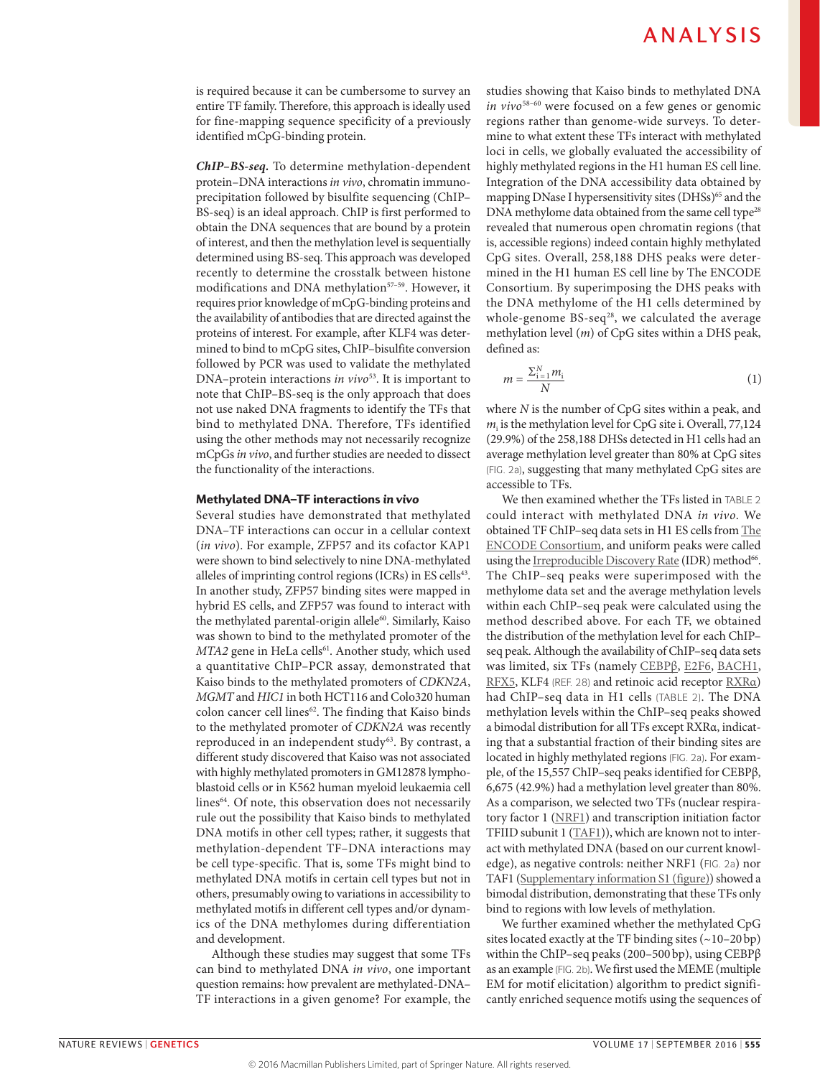is required because it can be cumbersome to survey an entire TF family. Therefore, this approach is ideally used for fine-mapping sequence specificity of a previously identified mCpG-binding protein.

*ChIP–BS‑seq.* To determine methylation-dependent protein–DNA interactions *in vivo*, chromatin immunoprecipitation followed by bisulfite sequencing (ChIP– BS-seq) is an ideal approach. ChIP is first performed to obtain the DNA sequences that are bound by a protein of interest, and then the methylation level is sequentially determined using BS-seq. This approach was developed recently to determine the crosstalk between histone modifications and DNA methylation<sup>57-59</sup>. However, it requires prior knowledge of mCpG-binding proteins and the availability of antibodies that are directed against the proteins of interest. For example, after KLF4 was determined to bind to mCpG sites, ChIP–bisulfite conversion followed by PCR was used to validate the methylated DNA–protein interactions *in vivo*<sup>53</sup>. It is important to note that ChIP–BS-seq is the only approach that does not use naked DNA fragments to identify the TFs that bind to methylated DNA. Therefore, TFs identified using the other methods may not necessarily recognize mCpGs *in vivo*, and further studies are needed to dissect the functionality of the interactions.

### Methylated DNA–TF interactions *in vivo*

Several studies have demonstrated that methylated DNA–TF interactions can occur in a cellular context (*in vivo*). For example, ZFP57 and its cofactor KAP1 were shown to bind selectively to nine DNA-methylated alleles of imprinting control regions (ICRs) in ES cells<sup>43</sup>. In another study, ZFP57 binding sites were mapped in hybrid ES cells, and ZFP57 was found to interact with the methylated parental-origin allele<sup>60</sup>. Similarly, Kaiso was shown to bind to the methylated promoter of the *MTA2* gene in HeLa cells<sup>61</sup>. Another study, which used a quantitative ChIP–PCR assay, demonstrated that Kaiso binds to the methylated promoters of *CDKN2A*, *MGMT* and *HIC1* in both HCT116 and Colo320 human colon cancer cell lines<sup>62</sup>. The finding that Kaiso binds to the methylated promoter of *CDKN2A* was recently reproduced in an independent study<sup>63</sup>. By contrast, a different study discovered that Kaiso was not associated with highly methylated promoters in GM12878 lymphoblastoid cells or in K562 human myeloid leukaemia cell lines<sup>64</sup>. Of note, this observation does not necessarily rule out the possibility that Kaiso binds to methylated DNA motifs in other cell types; rather, it suggests that methylation-dependent TF–DNA interactions may be cell type-specific. That is, some TFs might bind to methylated DNA motifs in certain cell types but not in others, presumably owing to variations in accessibility to methylated motifs in different cell types and/or dynamics of the DNA methylomes during differentiation and development.

Although these studies may suggest that some TFs can bind to methylated DNA *in vivo*, one important question remains: how prevalent are methylated-DNA– TF interactions in a given genome? For example, the studies showing that Kaiso binds to methylated DNA *in vivo*58–60 were focused on a few genes or genomic regions rather than genome-wide surveys. To determine to what extent these TFs interact with methylated loci in cells, we globally evaluated the accessibility of highly methylated regions in the H1 human ES cell line. Integration of the DNA accessibility data obtained by mapping DNase I hypersensitivity sites (DHSs)<sup>65</sup> and the DNA methylome data obtained from the same cell type<sup>28</sup> revealed that numerous open chromatin regions (that is, accessible regions) indeed contain highly methylated CpG sites. Overall, 258,188 DHS peaks were determined in the H1 human ES cell line by The ENCODE Consortium. By superimposing the DHS peaks with the DNA methylome of the H1 cells determined by whole-genome  $BS-seq^{28}$ , we calculated the average methylation level (*m*) of CpG sites within a DHS peak, defined as:

$$
m = \frac{\sum_{i=1}^{N} m_i}{N} \tag{1}
$$

where *N* is the number of CpG sites within a peak, and  $m_i$  is the methylation level for CpG site i. Overall, 77,124 (29.9%) of the 258,188 DHSs detected in H1 cells had an average methylation level greater than 80% at CpG sites (FIG. 2a), suggesting that many methylated CpG sites are accessible to TFs.

We then examined whether the TFs listed in TABLE 2 could interact with methylated DNA *in vivo*. We obtained TF ChIP–seq data sets in H1 ES cells from [The](http://encodeproject.org)  [ENCODE Consortium,](http://encodeproject.org) and uniform peaks were called using the [Irreproducible Discovery Rate](https://www.encodeproject.org/software/idr) (IDR) method<sup>66</sup>. The ChIP–seq peaks were superimposed with the methylome data set and the average methylation levels within each ChIP–seq peak were calculated using the method described above. For each TF, we obtained the distribution of the methylation level for each ChIP– seq peak. Although the availability of ChIP–seq data sets was limited, six TFs (namely [CEBPβ](https://www.encodeproject.org/experiments/ENCSR000EBV), [E2F6](https://www.encodeproject.org/experiments/ENCSR000BSI), [BACH1,](https://www.encodeproject.org/experiments/ENCSR000EBQ) [RFX5](https://www.encodeproject.org/experiments/ENCSR000ECF), KLF4 (REF. 28) and retinoic acid receptor [RXRα\)](https://www.encodeproject.org/experiments/ENCSR000BJW) had ChIP–seq data in H1 cells (TABLE 2). The DNA methylation levels within the ChIP–seq peaks showed a bimodal distribution for all TFs except RXRα, indicating that a substantial fraction of their binding sites are located in highly methylated regions (FIG. 2a). For example, of the 15,557 ChIP–seq peaks identified for CEBPβ, 6,675 (42.9%) had a methylation level greater than 80%. As a comparison, we selected two TFs (nuclear respiratory factor 1 [\(NRF1](https://www.encodeproject.org/experiments/ENCSR000ECC)) and transcription initiation factor TFIID subunit 1 [\(TAF1\)](https://www.encodeproject.org/experiments/ENCSR000BHO)), which are known not to interact with methylated DNA (based on our current knowledge), as negative controls: neither NRF1 (FIG. 2a) nor TAF1 [\(Supplementary information S1 \(figure\)](http://www.nature.com/nrg/journal/vaop/ncurrent/full/nrg.2016.83.html#supplementary-information)) showed a bimodal distribution, demonstrating that these TFs only bind to regions with low levels of methylation.

We further examined whether the methylated CpG sites located exactly at the TF binding sites  $(-10-20bp)$ within the ChIP–seq peaks (200–500bp), using CEBPβ as an example (FIG. 2b). We first used the MEME (multiple EM for motif elicitation) algorithm to predict significantly enriched sequence motifs using the sequences of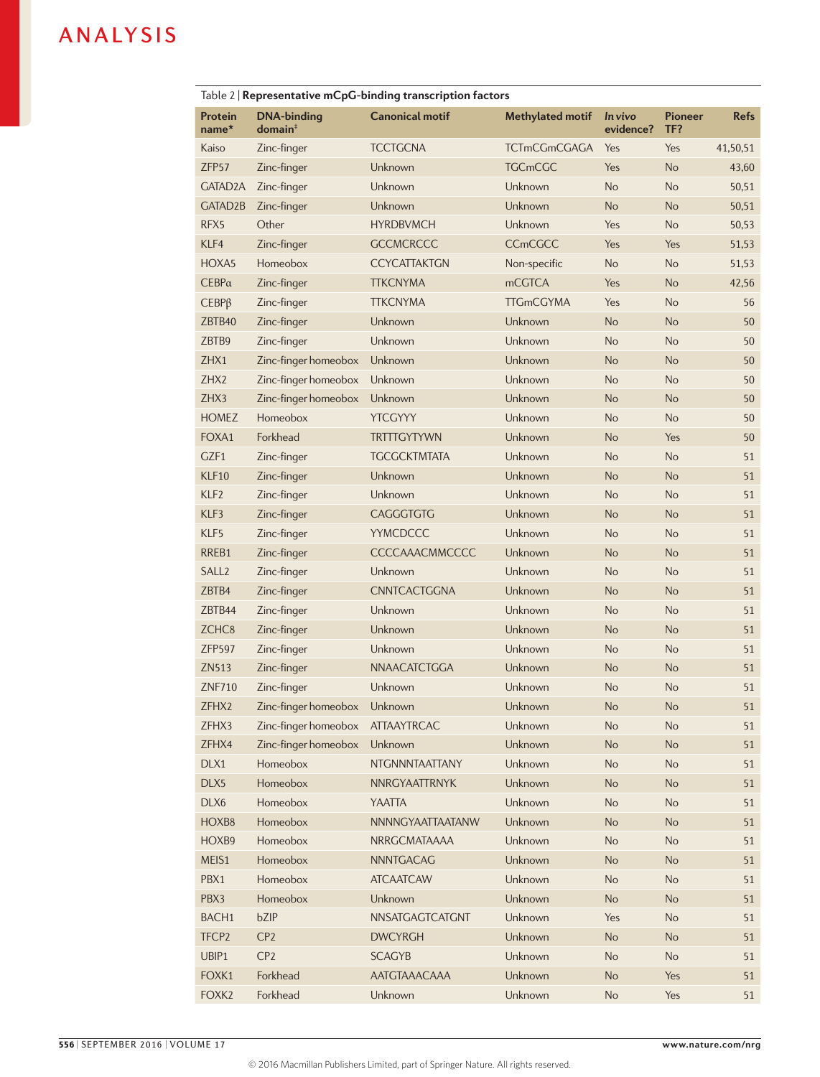| Table 2   Representative mCpG-binding transcription factors |                                           |                        |                         |                      |                       |             |
|-------------------------------------------------------------|-------------------------------------------|------------------------|-------------------------|----------------------|-----------------------|-------------|
| Protein<br>name*                                            | <b>DNA-binding</b><br>domain <sup>†</sup> | <b>Canonical motif</b> | <b>Methylated motif</b> | In vivo<br>evidence? | <b>Pioneer</b><br>TF? | <b>Refs</b> |
| Kaiso                                                       | Zinc-finger                               | <b>TCCTGCNA</b>        | <b>TCTmCGmCGAGA</b>     | Yes                  | Yes                   | 41,50,51    |
| ZFP57                                                       | Zinc-finger                               | Unknown                | <b>TGCmCGC</b>          | Yes                  | <b>No</b>             | 43,60       |
| GATAD <sub>2</sub> A                                        | Zinc-finger                               | Unknown                | Unknown                 | <b>No</b>            | No                    | 50,51       |
| GATAD <sub>2B</sub>                                         | Zinc-finger                               | Unknown                | Unknown                 | <b>No</b>            | <b>No</b>             | 50,51       |
| RFX5                                                        | Other                                     | <b>HYRDBVMCH</b>       | Unknown                 | Yes                  | <b>No</b>             | 50,53       |
| KLF4                                                        | Zinc-finger                               | <b>GCCMCRCCC</b>       | <b>CCmCGCC</b>          | Yes                  | Yes                   | 51,53       |
| HOXA5                                                       | Homeobox                                  | <b>CCYCATTAKTGN</b>    | Non-specific            | <b>No</b>            | <b>No</b>             | 51,53       |
| $CEBP\alpha$                                                | Zinc-finger                               | <b>TTKCNYMA</b>        | <b>mCGTCA</b>           | Yes                  | <b>No</b>             | 42,56       |
| $CEBP\beta$                                                 | Zinc-finger                               | <b>TTKCNYMA</b>        | <b>TTGmCGYMA</b>        | Yes                  | No                    | 56          |
| ZBTB40                                                      | Zinc-finger                               | Unknown                | Unknown                 | <b>No</b>            | <b>No</b>             | 50          |
| ZBTB9                                                       | Zinc-finger                               | Unknown                | Unknown                 | <b>No</b>            | <b>No</b>             | 50          |
| ZHX1                                                        | Zinc-finger homeobox                      | Unknown                | Unknown                 | <b>No</b>            | No                    | 50          |
| ZHX2                                                        | Zinc-finger homeobox                      | Unknown                | Unknown                 | <b>No</b>            | <b>No</b>             | 50          |
| ZHX3                                                        | Zinc-finger homeobox                      | Unknown                | Unknown                 | <b>No</b>            | No                    | 50          |
| <b>HOMEZ</b>                                                | Homeobox                                  | <b>YTCGYYY</b>         | Unknown                 | <b>No</b>            | <b>No</b>             | 50          |
| FOXA1                                                       | Forkhead                                  | <b>TRTTTGYTYWN</b>     | Unknown                 | <b>No</b>            | Yes                   | 50          |
| GZF1                                                        | Zinc-finger                               | <b>TGCGCKTMTATA</b>    | Unknown                 | <b>No</b>            | <b>No</b>             | 51          |
| KLF10                                                       | Zinc-finger                               | Unknown                | Unknown                 | <b>No</b>            | No                    | 51          |
| KLF <sub>2</sub>                                            | Zinc-finger                               | Unknown                | Unknown                 | <b>No</b>            | <b>No</b>             | 51          |
| KLF3                                                        | Zinc-finger                               | <b>CAGGGTGTG</b>       | Unknown                 | <b>No</b>            | <b>No</b>             | 51          |
| KLF5                                                        | Zinc-finger                               | <b>YYMCDCCC</b>        | Unknown                 | <b>No</b>            | <b>No</b>             | 51          |
| RREB1                                                       | Zinc-finger                               | CCCCAAACMMCCCC         | Unknown                 | <b>No</b>            | <b>No</b>             | 51          |
| SALL <sub>2</sub>                                           | Zinc-finger                               | Unknown                | Unknown                 | <b>No</b>            | No                    | 51          |
| ZBTB4                                                       | Zinc-finger                               | CNNTCACTGGNA           | Unknown                 | <b>No</b>            | No                    | 51          |
| ZBTB44                                                      | Zinc-finger                               | Unknown                | Unknown                 | <b>No</b>            | <b>No</b>             | 51          |
| ZCHC <sub>8</sub>                                           | Zinc-finger                               | Unknown                | Unknown                 | <b>No</b>            | No                    | 51          |
| <b>ZFP597</b>                                               | Zinc-finger                               | Unknown                | Unknown                 | <b>No</b>            | <b>No</b>             | 51          |
| ZN513                                                       | Zinc-finger                               | <b>NNAACATCTGGA</b>    | Unknown                 | <b>No</b>            | No                    | 51          |
| <b>ZNF710</b>                                               | Zinc-finger                               | Unknown                | Unknown                 | No                   | No                    | 51          |
| ZFHX2                                                       | Zinc-finger homeobox                      | Unknown                | Unknown                 | No                   | No                    | 51          |
| ZFHX3                                                       | Zinc-finger homeobox                      | <b>ATTAAYTRCAC</b>     | Unknown                 | No                   | No                    | 51          |
| ZFHX4                                                       | Zinc-finger homeobox                      | Unknown                | Unknown                 | <b>No</b>            | No                    | 51          |
| DLX1                                                        | Homeobox                                  | NTGNNNTAATTANY         | Unknown                 | <b>No</b>            | No                    | 51          |
| DLX5                                                        | Homeobox                                  | NNRGYAATTRNYK          | Unknown                 | <b>No</b>            | No                    | 51          |
| DLX6                                                        | Homeobox                                  | <b>YAATTA</b>          | Unknown                 | <b>No</b>            | No                    | 51          |
| HOXB8                                                       | Homeobox                                  | NNNNGYAATTAATANW       | Unknown                 | <b>No</b>            | No                    | 51          |
| HOXB9                                                       | Homeobox                                  | NRRGCMATAAAA           | Unknown                 | No                   | No                    | 51          |
| MEIS1                                                       | Homeobox                                  | <b>NNNTGACAG</b>       | Unknown                 | <b>No</b>            | No                    | 51          |
| PBX1                                                        | Homeobox                                  | <b>ATCAATCAW</b>       | Unknown                 | <b>No</b>            | No                    | 51          |
| PBX3                                                        | Homeobox                                  | Unknown                | Unknown                 | <b>No</b>            | No                    | 51          |
| BACH1                                                       | bZIP                                      | NNSATGAGTCATGNT        | Unknown                 | Yes                  | No                    | 51          |
| TFCP <sub>2</sub>                                           | CP <sub>2</sub>                           | <b>DWCYRGH</b>         | Unknown                 | No                   | No                    | 51          |
| UBIP1                                                       | CP <sub>2</sub>                           | <b>SCAGYB</b>          | Unknown                 | No                   | No                    | 51          |
| FOXK1                                                       | Forkhead                                  | AATGTAAACAAA           | Unknown                 | No                   | Yes                   | 51          |
| FOXK2                                                       | Forkhead                                  | Unknown                | Unknown                 | No                   | Yes                   | 51          |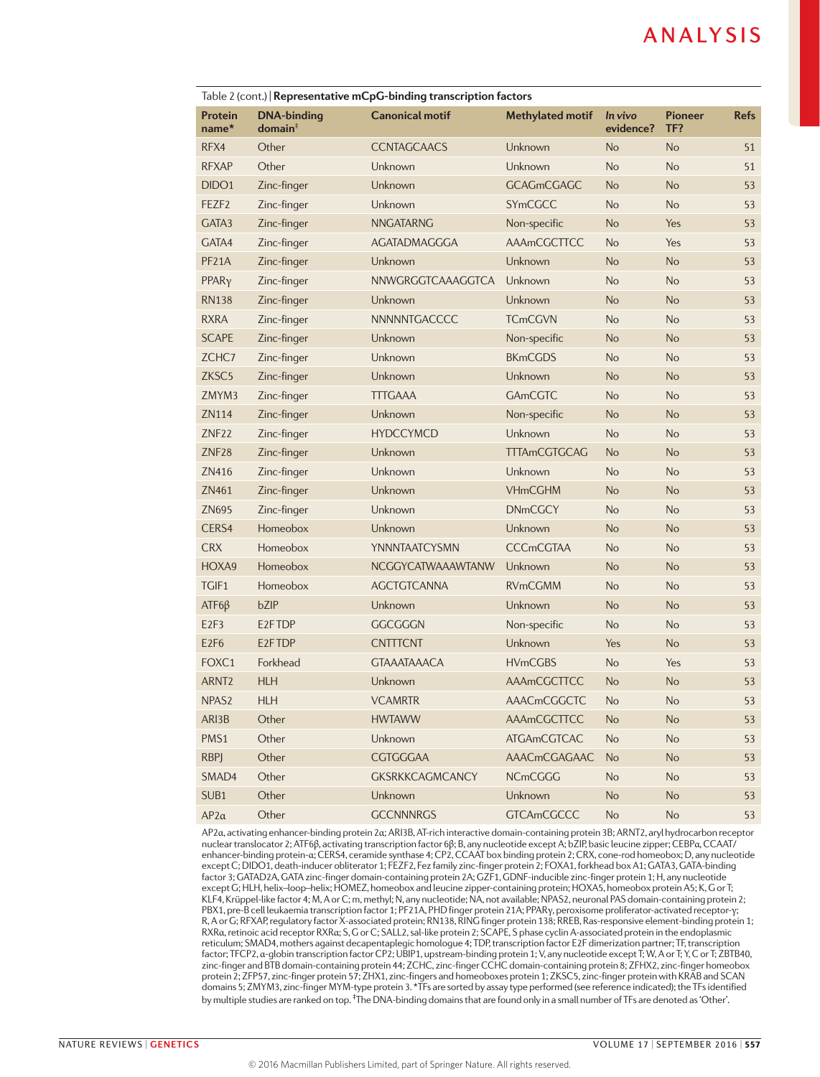| Table 2 (cont.) Representative mCpG-binding transcription factors |                                           |                        |                         |                      |                              |             |
|-------------------------------------------------------------------|-------------------------------------------|------------------------|-------------------------|----------------------|------------------------------|-------------|
| Protein<br>$name*$                                                | <b>DNA-binding</b><br>domain <sup>†</sup> | <b>Canonical motif</b> | <b>Methylated motif</b> | In vivo<br>evidence? | <b>Pioneer</b><br>TF?        | <b>Refs</b> |
| RFX4                                                              | Other                                     | <b>CCNTAGCAACS</b>     | Unknown                 | <b>No</b>            | <b>No</b>                    | 51          |
| <b>RFXAP</b>                                                      | Other                                     | Unknown                | Unknown                 | <b>No</b>            | <b>No</b>                    | 51          |
| DIDO <sub>1</sub>                                                 | Zinc-finger                               | Unknown                | <b>GCAGmCGAGC</b>       | <b>No</b>            | <b>No</b>                    | 53          |
| FEZF <sub>2</sub>                                                 | Zinc-finger                               | Unknown                | SYmCGCC                 | <b>No</b>            | <b>No</b>                    | 53          |
| GATA3                                                             | Zinc-finger                               | <b>NNGATARNG</b>       | Non-specific            | <b>No</b>            | Yes                          | 53          |
| GATA4                                                             | Zinc-finger                               | AGATADMAGGGA           | AAAmCGCTTCC             | <b>No</b>            | Yes                          | 53          |
| PF <sub>21</sub> A                                                | Zinc-finger                               | Unknown                | Unknown                 | <b>No</b>            | <b>No</b>                    | 53          |
| PPAR <sub>V</sub>                                                 | Zinc-finger                               | NNWGRGGTCAAAGGTCA      | Unknown                 | <b>No</b>            | <b>No</b>                    | 53          |
| <b>RN138</b>                                                      | Zinc-finger                               | Unknown                | Unknown                 | <b>No</b>            | <b>No</b>                    | 53          |
| <b>RXRA</b>                                                       | Zinc-finger                               | NNNNNTGACCCC           | <b>TCmCGVN</b>          | <b>No</b>            | <b>No</b>                    | 53          |
| <b>SCAPE</b>                                                      | Zinc-finger                               | Unknown                | Non-specific            | <b>No</b>            | <b>No</b>                    | 53          |
| ZCHC7                                                             | Zinc-finger                               | Unknown                | <b>BKmCGDS</b>          | <b>No</b>            | <b>No</b>                    | 53          |
| ZKSC <sub>5</sub>                                                 | Zinc-finger                               | Unknown                | Unknown                 | <b>No</b>            | <b>No</b>                    | 53          |
| ZMYM3                                                             | Zinc-finger                               | <b>TTTGAAA</b>         | GAmCGTC                 | <b>No</b>            | <b>No</b>                    | 53          |
| ZN114                                                             | Zinc-finger                               | Unknown                | Non-specific            | <b>No</b>            | <b>No</b>                    | 53          |
| ZNF <sub>22</sub>                                                 | Zinc-finger                               | <b>HYDCCYMCD</b>       | Unknown                 | <b>No</b>            | <b>No</b>                    | 53          |
| ZNF <sub>28</sub>                                                 | Zinc-finger                               | Unknown                | <b>TTTAmCGTGCAG</b>     | <b>No</b>            | <b>No</b>                    | 53          |
| ZN416                                                             | Zinc-finger                               | Unknown                | Unknown                 | <b>No</b>            | <b>No</b>                    | 53          |
| ZN461                                                             | Zinc-finger                               | Unknown                | <b>VHmCGHM</b>          | <b>No</b>            | <b>No</b>                    | 53          |
| ZN695                                                             | Zinc-finger                               | Unknown                | <b>DNmCGCY</b>          | <b>No</b>            | <b>No</b>                    | 53          |
| CERS4                                                             | Homeobox                                  | Unknown                | Unknown                 | <b>No</b>            | <b>No</b>                    | 53          |
| <b>CRX</b>                                                        | Homeobox                                  | YNNNTAATCYSMN          | <b>CCCmCGTAA</b>        | <b>No</b>            | <b>No</b>                    | 53          |
| HOXA9                                                             | Homeobox                                  | NCGGYCATWAAAWTANW      | Unknown                 | <b>No</b>            | <b>No</b>                    | 53          |
| TGIF1                                                             | Homeobox                                  | <b>AGCTGTCANNA</b>     | <b>RVmCGMM</b>          | <b>No</b>            | <b>No</b>                    | 53          |
| $ATF6\beta$                                                       | bZIP                                      | Unknown                | Unknown                 | <b>No</b>            | <b>No</b>                    | 53          |
| E <sub>2F3</sub>                                                  | E <sub>2</sub> FTDP                       | <b>GGCGGGN</b>         | Non-specific            | <b>No</b>            | <b>No</b>                    | 53          |
| E <sub>2F6</sub>                                                  | E <sub>2</sub> FTDP                       | <b>CNTTTCNT</b>        | Unknown                 | Yes                  | <b>No</b>                    | 53          |
| FOXC1                                                             | Forkhead                                  | <b>GTAAATAAACA</b>     | <b>HVmCGBS</b>          | <b>No</b>            | Yes                          | 53          |
| ARNT <sub>2</sub>                                                 | <b>HLH</b>                                | Unknown                | AAAmCGCTTCC             | <b>No</b>            | <b>No</b>                    | 53          |
| NPAS <sub>2</sub>                                                 | <b>HLH</b>                                | <b>VCAMRTR</b>         | <b>AAACmCGGCTC</b>      | No                   | <b>No</b>                    | 53          |
| ARI3B                                                             | Other                                     | <b>HWTAWW</b>          | AAAmCGCTTCC             | <b>No</b>            | No                           | 53          |
| PMS1                                                              | Other                                     | Unknown                | <b>ATGAmCGTCAC</b>      | No                   | No                           | 53          |
| <b>RBPJ</b>                                                       | Other                                     | CGTGGGAA               | AAACmCGAGAAC            | <b>No</b>            | <b>No</b>                    | 53          |
| SMAD4                                                             | Other                                     | <b>GKSRKKCAGMCANCY</b> | <b>NCmCGGG</b>          | <b>No</b>            | No                           | 53          |
| SUB1                                                              | Other                                     | Unknown                | Unknown                 | <b>No</b>            | <b>No</b>                    | 53          |
| $AP2\alpha$                                                       | Other                                     | <b>GCCNNNRGS</b>       | <b>GTCAmCGCCC</b>       | No                   | $\operatorname{\mathsf{No}}$ | 53          |

AP2α, activating enhancer-binding protein 2α; ARI3B, AT-rich interactive domain-containing protein 3B; ARNT2, aryl hydrocarbon receptor nuclear translocator 2; ATF6β, activating transcription factor 6β; B, any nucleotide except A; bZIP, basic leucine zipper; CEBPα, CCAAT/ enhancer-binding protein-α; CERS4, ceramide synthase 4; CP2, CCAAT box binding protein 2; CRX, cone-rod homeobox; D, any nucleotide except C; DIDO1, death-inducer obliterator 1; FEZF2, Fez family zinc-finger protein 2; FOXA1, forkhead box A1; GATA3, GATA-binding factor 3; GATAD2A, GATA zinc-finger domain-containing protein 2A; GZF1, GDNF-inducible zinc-finger protein 1; H, any nucleotide except G; HLH, helix–loop–helix; HOMEZ, homeobox and leucine zipper-containing protein; HOXA5, homeobox protein A5; K, G or T; KLF4, Krüppel-like factor 4; M, A or C; m, methyl; N, any nucleotide; NA, not available; NPAS2, neuronal PAS domain-containing protein 2; PBX1, pre-B cell leukaemia transcription factor 1; PF21A, PHD finger protein 21A; PPARγ, peroxisome proliferator-activated receptor-γ;<br>R, A or G; RFXAP, regulatory factor X-associated protein; RN138, RING finger protein 1 RXRα, retinoic acid receptor RXRα; S, G or C; SALL2, sal-like protein 2; SCAPE, S phase cyclin A-associated protein in the endoplasmic reticulum; SMAD4, mothers against decapentaplegic homologue 4; TDP, transcription factor E2F dimerization partner; TF, transcription factor; TFCP2, α-globin transcription factor CP2; UBIP1, upstream-binding protein 1; V, any nucleotide except T; W, A or T; Y, C or T; ZBTB40, zinc-finger and BTB domain-containing protein 44; ZCHC, zinc-finger CCHC domain-containing protein 8; ZFHX2, zinc-finger homeobox protein 2; ZFP57, zinc-finger protein 57; ZHX1, zinc-fingers and homeoboxes protein 1; ZKSC5, zinc-finger protein with KRAB and SCAN domains 5; ZMYM3, zinc-finger MYM-type protein 3. \*TFs are sorted by assay type performed (see reference indicated); the TFs identified by multiple studies are ranked on top. <sup>‡</sup>The DNA-binding domains that are found only in a small number of TFs are denoted as 'Other'.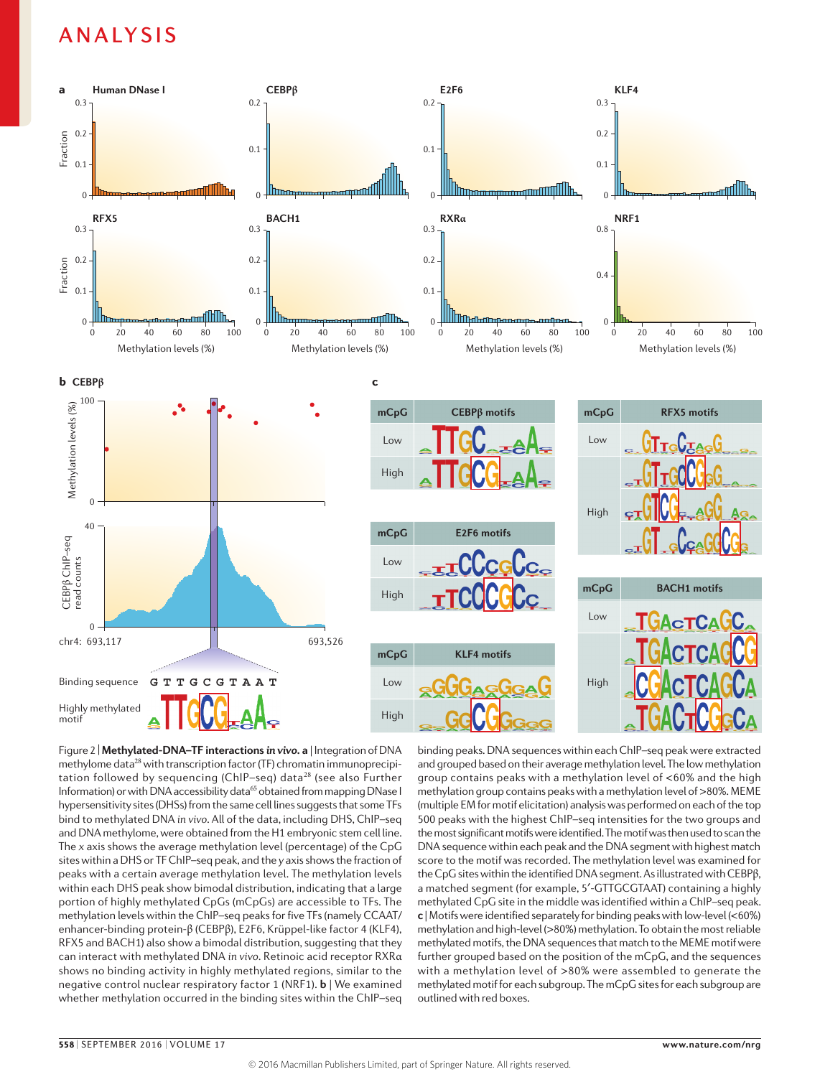

Figure 2 |**Methylated-DNA–TF interactions** *in vivo***. a** | Integration of DNA methylome data<sup>28</sup> with transcription factor (TF) chromatin immunoprecipitation followed by sequencing (ChIP–seq) data<sup>28</sup> (see also Further Information) or with DNA accessibility data<sup>65</sup> obtained from mapping DNase I hypersensitivity sites (DHSs) from the same cell lines suggests that some TFs bind to methylated DNA *in vivo*. All of the data, including DHS, ChIP–seq and DNA methylome, were obtained from the H1 embryonic stem cell line. The *x* axis shows the average methylation level (percentage) of the CpG sites within a DHS or TF ChIP–seq peak, and the *y* axis shows the fraction of peaks with a certain average methylation level. The methylation levels within each DHS peak show bimodal distribution, indicating that a large portion of highly methylated CpGs (mCpGs) are accessible to TFs. The methylation levels within the ChIP–seq peaks for five TFs (namely CCAAT/ enhancer-binding protein-β (CEBPβ), E2F6, Krüppel-like factor 4 (KLF4), RFX5 and BACH1) also show a bimodal distribution, suggesting that they can interact with methylated DNA *in vivo.* Retinoic acid receptor RXRα shows no binding activity in highly methylated regions, similar to the negative control nuclear respiratory factor 1 (NRF1). **b** | We examined whether methylation occurred in the binding sites within the ChIP–seq

and grouped based on their average methylation level. The low methylation binding peaks. DNA sequences within each ChIP–seq peak were extracted group contains peaks with a methylation level of <60% and the high methylation group contains peaks with a methylation level of >80%. MEME (multiple EM for motif elicitation) analysis was performed on each of the top 500 peaks with the highest ChIP–seq intensities for the two groups and the most significant motifs were identified. The motif was then used to scan the DNA sequence within each peak and the DNA segment with highest match score to the motif was recorded. The methylation level was examined for the CpG sites within the identified DNA segment. As illustrated with CEBPβ, a matched segment (for example, 5′‑GTTGCGTAAT) containing a highly methylated CpG site in the middle was identified within a ChIP–seq peak. **c** | Motifs were identified separately for binding peaks with low-level (<60%) methylation and high-level (>80%) methylation. To obtain the most reliable methylated motifs, the DNA sequences that match to the MEME motif were further grouped based on the position of the mCpG, and the sequences with a methylation level of >80% were assembled to generate the methylated motif for each subgroup. The mCpG sites for each subgroup are outlined with red boxes.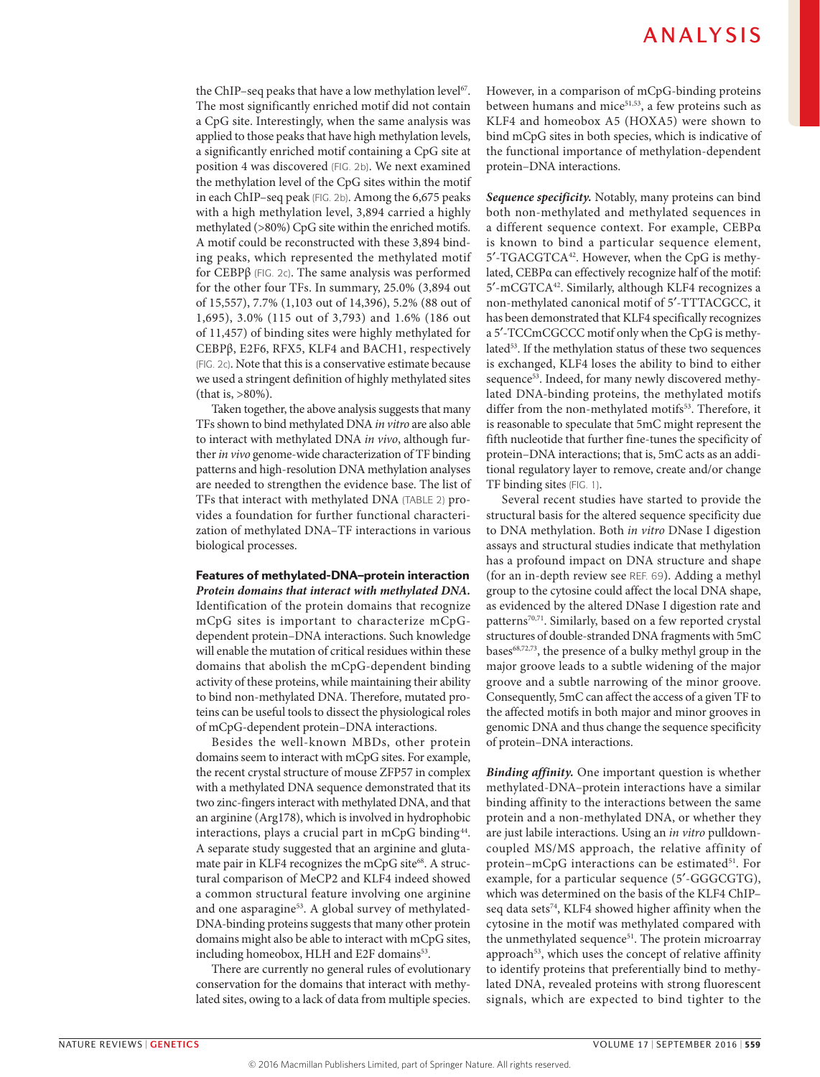the ChIP–seq peaks that have a low methylation level<sup>67</sup>. The most significantly enriched motif did not contain a CpG site. Interestingly, when the same analysis was applied to those peaks that have high methylation levels, a significantly enriched motif containing a CpG site at position 4 was discovered (FIG. 2b). We next examined the methylation level of the CpG sites within the motif in each ChIP–seq peak (FIG. 2b). Among the 6,675 peaks with a high methylation level, 3,894 carried a highly methylated (>80%) CpG site within the enriched motifs. A motif could be reconstructed with these 3,894 binding peaks, which represented the methylated motif for CEBPβ (FIG. 2c). The same analysis was performed for the other four TFs. In summary, 25.0% (3,894 out of 15,557), 7.7% (1,103 out of 14,396), 5.2% (88 out of 1,695), 3.0% (115 out of 3,793) and 1.6% (186 out of 11,457) of binding sites were highly methylated for CEBPβ, E2F6, RFX5, KLF4 and BACH1, respectively (FIG. 2c). Note that this is a conservative estimate because we used a stringent definition of highly methylated sites (that is, >80%).

Taken together, the above analysis suggests that many TFs shown to bind methylated DNA *in vitro* are also able to interact with methylated DNA *in vivo*, although further *in vivo* genome-wide characterization of TF binding patterns and high-resolution DNA methylation analyses are needed to strengthen the evidence base. The list of TFs that interact with methylated DNA (TABLE 2) provides a foundation for further functional characterization of methylated DNA–TF interactions in various biological processes.

### Features of methylated-DNA–protein interaction

*Protein domains that interact with methylated DNA.* Identification of the protein domains that recognize mCpG sites is important to characterize mCpGdependent protein–DNA interactions. Such knowledge will enable the mutation of critical residues within these domains that abolish the mCpG-dependent binding activity of these proteins, while maintaining their ability to bind non-methylated DNA. Therefore, mutated proteins can be useful tools to dissect the physiological roles of mCpG-dependent protein–DNA interactions.

Besides the well-known MBDs, other protein domains seem to interact with mCpG sites. For example, the recent crystal structure of mouse ZFP57 in complex with a methylated DNA sequence demonstrated that its two zinc-fingers interact with methylated DNA, and that an arginine (Arg178), which is involved in hydrophobic interactions, plays a crucial part in mCpG binding<sup>44</sup>. A separate study suggested that an arginine and glutamate pair in KLF4 recognizes the mCpG site<sup>68</sup>. A structural comparison of MeCP2 and KLF4 indeed showed a common structural feature involving one arginine and one asparagine<sup>53</sup>. A global survey of methylated-DNA-binding proteins suggests that many other protein domains might also be able to interact with mCpG sites, including homeobox, HLH and E2F domains<sup>53</sup>.

There are currently no general rules of evolutionary conservation for the domains that interact with methylated sites, owing to a lack of data from multiple species. However, in a comparison of mCpG-binding proteins between humans and mice $51,53$ , a few proteins such as KLF4 and homeobox A5 (HOXA5) were shown to bind mCpG sites in both species, which is indicative of the functional importance of methylation-dependent protein–DNA interactions.

*Sequence specificity.* Notably, many proteins can bind both non-methylated and methylated sequences in a different sequence context. For example, CEBPα is known to bind a particular sequence element, 5'-TGACGTCA<sup>42</sup>. However, when the CpG is methylated, CEBPα can effectively recognize half of the motif: 5′-mCGTCA42. Similarly, although KLF4 recognizes a non-methylated canonical motif of 5′-TTTACGCC, it has been demonstrated that KLF4 specifically recognizes a 5′-TCCmCGCCC motif only when the CpG is methylated<sup>53</sup>. If the methylation status of these two sequences is exchanged, KLF4 loses the ability to bind to either sequence<sup>53</sup>. Indeed, for many newly discovered methylated DNA-binding proteins, the methylated motifs differ from the non-methylated motifs<sup>53</sup>. Therefore, it is reasonable to speculate that 5mC might represent the fifth nucleotide that further fine-tunes the specificity of protein–DNA interactions; that is, 5mC acts as an additional regulatory layer to remove, create and/or change TF binding sites (FIG. 1).

Several recent studies have started to provide the structural basis for the altered sequence specificity due to DNA methylation. Both *in vitro* DNase I digestion assays and structural studies indicate that methylation has a profound impact on DNA structure and shape (for an in-depth review see REF. 69). Adding a methyl group to the cytosine could affect the local DNA shape, as evidenced by the altered DNase I digestion rate and patterns<sup>70,71</sup>. Similarly, based on a few reported crystal structures of double-stranded DNA fragments with 5mC bases68,72,73, the presence of a bulky methyl group in the major groove leads to a subtle widening of the major groove and a subtle narrowing of the minor groove. Consequently, 5mC can affect the access of a given TF to the affected motifs in both major and minor grooves in genomic DNA and thus change the sequence specificity of protein–DNA interactions.

*Binding affinity.* One important question is whether methylated-DNA–protein interactions have a similar binding affinity to the interactions between the same protein and a non-methylated DNA, or whether they are just labile interactions. Using an *in vitro* pulldowncoupled MS/MS approach, the relative affinity of protein-mCpG interactions can be estimated<sup>51</sup>. For example, for a particular sequence (5′-GGGCGTG), which was determined on the basis of the KLF4 ChIP– seq data sets<sup>74</sup>, KLF4 showed higher affinity when the cytosine in the motif was methylated compared with the unmethylated sequence<sup>51</sup>. The protein microarray approach<sup>53</sup>, which uses the concept of relative affinity to identify proteins that preferentially bind to methylated DNA, revealed proteins with strong fluorescent signals, which are expected to bind tighter to the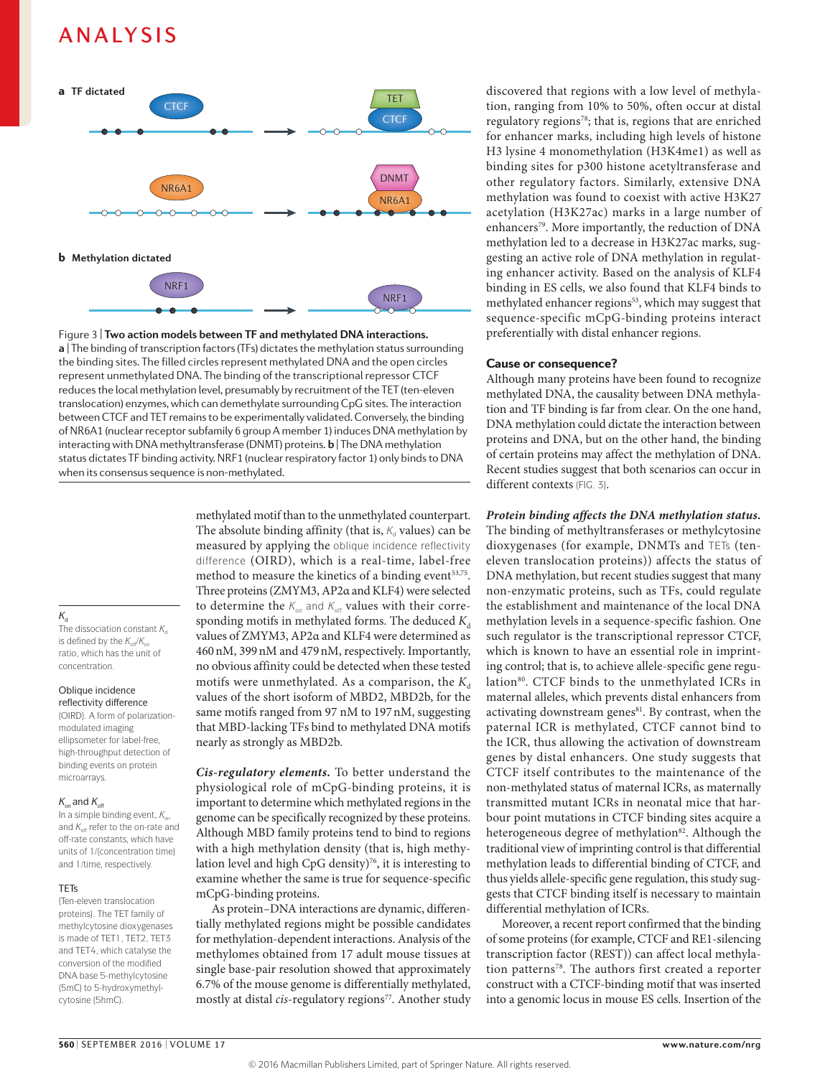

**a** | The binding of transcription factors (TFs) dictates the methylation status surrounding Figure 3 | **Two action models between TF and methylated DNA interactions.**  the binding sites. The filled circles represent methylated DNA and the open circles represent unmethylated DNA. The binding of the transcriptional repressor CTCF reduces the local methylation level, presumably by recruitment of the TET (ten-eleven translocation) enzymes, which can demethylate surrounding CpG sites. The interaction between CTCF and TET remains to be experimentally validated. Conversely, the binding of NR6A1 (nuclear receptor subfamily 6 group A member 1) induces DNA methylation by interacting with DNA methyltransferase (DNMT) proteins. **b** | The DNA methylation status dictates TF binding activity. NRF1 (nuclear respiratory factor 1) only binds to DNA when its consensus sequence is non-methylated.

### $K_d$

The dissociation constant  $K_d$ is defined by the  $K_{\text{off}}/K_{\text{on}}$ ratio, which has the unit of concentration.

#### Oblique incidence reflectivity difference

(OIRD). A form of polarizationmodulated imaging ellipsometer for label-free, high-throughput detection of binding events on protein microarrays.

#### $K_{\text{on}}$  and  $K_{\text{off}}$

In a simple binding event,  $K_{on}$ and  $K_{\text{off}}$  refer to the on-rate and off-rate constants, which have units of 1/(concentration time) and 1/time, respectively.

### **TETs**

(Ten-eleven translocation proteins). The TET family of methylcytosine dioxygenases is made of TET1, TET2, TET3 and TET4, which catalyse the conversion of the modified DNA base 5-methylcytosine (5mC) to 5-hydroxymethylcytosine (5hmC).

methylated motif than to the unmethylated counterpart. The absolute binding affinity (that is,  $K_d$  values) can be measured by applying the oblique incidence reflectivity difference (OIRD), which is a real-time, label-free method to measure the kinetics of a binding event<sup>53,75</sup>. Three proteins (ZMYM3, AP2α and KLF4) were selected to determine the  $K_{on}$  and  $K_{off}$  values with their corresponding motifs in methylated forms. The deduced  $K_d$ values of ZMYM3, AP2α and KLF4 were determined as 460nM, 399nM and 479nM, respectively. Importantly, no obvious affinity could be detected when these tested motifs were unmethylated. As a comparison, the  $K_d$ values of the short isoform of MBD2, MBD2b, for the same motifs ranged from 97 nM to 197nM, suggesting that MBD-lacking TFs bind to methylated DNA motifs nearly as strongly as MBD2b.

*Cis-regulatory elements.* To better understand the physiological role of mCpG-binding proteins, it is important to determine which methylated regions in the genome can be specifically recognized by these proteins. Although MBD family proteins tend to bind to regions with a high methylation density (that is, high methylation level and high CpG density)<sup>76</sup>, it is interesting to examine whether the same is true for sequence-specific mCpG-binding proteins.

As protein–DNA interactions are dynamic, differentially methylated regions might be possible candidates for methylation-dependent interactions. Analysis of the methylomes obtained from 17 adult mouse tissues at single base-pair resolution showed that approximately 6.7% of the mouse genome is differentially methylated, mostly at distal *cis*-regulatory regions<sup>77</sup>. Another study discovered that regions with a low level of methylation, ranging from 10% to 50%, often occur at distal regulatory regions78; that is, regions that are enriched for enhancer marks, including high levels of histone H3 lysine 4 monomethylation (H3K4me1) as well as binding sites for p300 histone acetyltransferase and other regulatory factors. Similarly, extensive DNA methylation was found to coexist with active H3K27 acetylation (H3K27ac) marks in a large number of enhancers<sup>79</sup>. More importantly, the reduction of DNA methylation led to a decrease in H3K27ac marks, suggesting an active role of DNA methylation in regulating enhancer activity. Based on the analysis of KLF4 binding in ES cells, we also found that KLF4 binds to methylated enhancer regions<sup>53</sup>, which may suggest that sequence-specific mCpG-binding proteins interact preferentially with distal enhancer regions.

### Cause or consequence?

Although many proteins have been found to recognize methylated DNA, the causality between DNA methylation and TF binding is far from clear. On the one hand, DNA methylation could dictate the interaction between proteins and DNA, but on the other hand, the binding of certain proteins may affect the methylation of DNA. Recent studies suggest that both scenarios can occur in different contexts (FIG. 3).

### *Protein binding affects the DNA methylation status.*

The binding of methyltransferases or methylcytosine dioxygenases (for example, DNMTs and TETs (teneleven translocation proteins)) affects the status of DNA methylation, but recent studies suggest that many non-enzymatic proteins, such as TFs, could regulate the establishment and maintenance of the local DNA methylation levels in a sequence-specific fashion. One such regulator is the transcriptional repressor CTCF, which is known to have an essential role in imprinting control; that is, to achieve allele-specific gene regulation<sup>80</sup>. CTCF binds to the unmethylated ICRs in maternal alleles, which prevents distal enhancers from activating downstream genes<sup>81</sup>. By contrast, when the paternal ICR is methylated, CTCF cannot bind to the ICR, thus allowing the activation of downstream genes by distal enhancers. One study suggests that CTCF itself contributes to the maintenance of the non-methylated status of maternal ICRs, as maternally transmitted mutant ICRs in neonatal mice that harbour point mutations in CTCF binding sites acquire a heterogeneous degree of methylation<sup>82</sup>. Although the traditional view of imprinting control is that differential methylation leads to differential binding of CTCF, and thus yields allele-specific gene regulation, this study suggests that CTCF binding itself is necessary to maintain differential methylation of ICRs.

Moreover, a recent report confirmed that the binding of some proteins (for example, CTCF and RE1-silencing transcription factor (REST)) can affect local methylation patterns<sup>78</sup>. The authors first created a reporter construct with a CTCF-binding motif that was inserted into a genomic locus in mouse ES cells. Insertion of the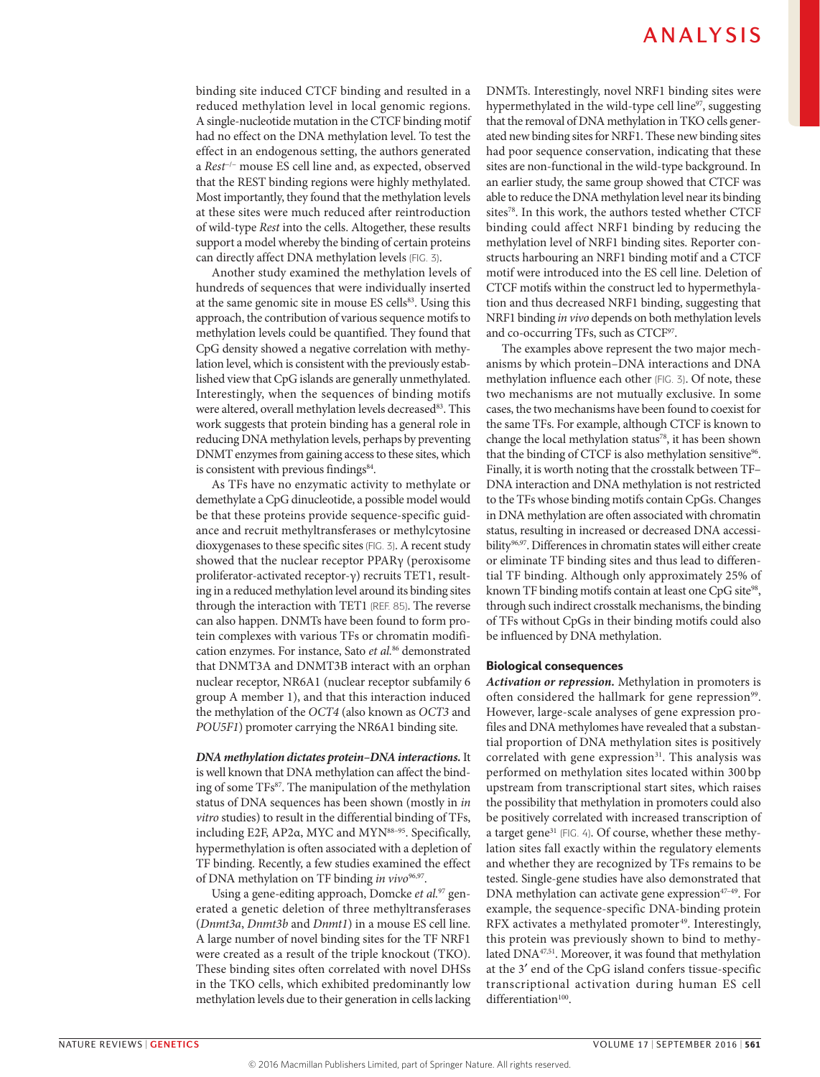binding site induced CTCF binding and resulted in a reduced methylation level in local genomic regions. A single-nucleotide mutation in the CTCF binding motif had no effect on the DNA methylation level. To test the effect in an endogenous setting, the authors generated a *Rest*−/− mouse ES cell line and, as expected, observed that the REST binding regions were highly methylated. Most importantly, they found that the methylation levels at these sites were much reduced after reintroduction of wild-type *Rest* into the cells. Altogether, these results support a model whereby the binding of certain proteins can directly affect DNA methylation levels (FIG. 3).

Another study examined the methylation levels of hundreds of sequences that were individually inserted at the same genomic site in mouse ES cells<sup>83</sup>. Using this approach, the contribution of various sequence motifs to methylation levels could be quantified. They found that CpG density showed a negative correlation with methylation level, which is consistent with the previously established view that CpG islands are generally unmethylated. Interestingly, when the sequences of binding motifs were altered, overall methylation levels decreased<sup>83</sup>. This work suggests that protein binding has a general role in reducing DNA methylation levels, perhaps by preventing DNMT enzymes from gaining access to these sites, which is consistent with previous findings<sup>84</sup>.

As TFs have no enzymatic activity to methylate or demethylate a CpG dinucleotide, a possible model would be that these proteins provide sequence-specific guidance and recruit methyltransferases or methylcytosine dioxygenases to these specific sites (FIG. 3). A recent study showed that the nuclear receptor PPARγ (peroxisome proliferator-activated receptor-γ) recruits TET1, resulting in a reduced methylation level around its binding sites through the interaction with TET1 (REF. 85). The reverse can also happen. DNMTs have been found to form protein complexes with various TFs or chromatin modification enzymes. For instance, Sato *et al.*86 demonstrated that DNMT3A and DNMT3B interact with an orphan nuclear receptor, NR6A1 (nuclear receptor subfamily 6 group A member 1), and that this interaction induced the methylation of the *OCT4* (also known as *OCT3* and *POU5F1*) promoter carrying the NR6A1 binding site.

*DNA methylation dictates protein–DNA interactions.*It is well known that DNA methylation can affect the binding of some TFs<sup>87</sup>. The manipulation of the methylation status of DNA sequences has been shown (mostly in *in vitro* studies) to result in the differential binding of TFs, including E2F, AP2α, MYC and MYN<sup>88-95</sup>. Specifically, hypermethylation is often associated with a depletion of TF binding. Recently, a few studies examined the effect of DNA methylation on TF binding *in vivo*<sup>96,97</sup>.

Using a gene-editing approach, Domcke *et al.*97 generated a genetic deletion of three methyltransferases (*Dnmt3a*, *Dnmt3b* and *Dnmt1*) in a mouse ES cell line. A large number of novel binding sites for the TF NRF1 were created as a result of the triple knockout (TKO). These binding sites often correlated with novel DHSs in the TKO cells, which exhibited predominantly low methylation levels due to their generation in cells lacking DNMTs. Interestingly, novel NRF1 binding sites were hypermethylated in the wild-type cell line<sup>97</sup>, suggesting that the removal of DNA methylation in TKO cells generated new binding sites for NRF1. These new binding sites had poor sequence conservation, indicating that these sites are non-functional in the wild-type background. In an earlier study, the same group showed that CTCF was able to reduce the DNA methylation level near its binding sites78. In this work, the authors tested whether CTCF binding could affect NRF1 binding by reducing the methylation level of NRF1 binding sites. Reporter constructs harbouring an NRF1 binding motif and a CTCF motif were introduced into the ES cell line. Deletion of CTCF motifs within the construct led to hypermethylation and thus decreased NRF1 binding, suggesting that NRF1 binding *in vivo* depends on both methylation levels and co-occurring TFs, such as CTCF<sup>97</sup>.

The examples above represent the two major mechanisms by which protein–DNA interactions and DNA methylation influence each other (FIG. 3). Of note, these two mechanisms are not mutually exclusive. In some cases, the two mechanisms have been found to coexist for the same TFs. For example, although CTCF is known to change the local methylation status<sup>78</sup>, it has been shown that the binding of CTCF is also methylation sensitive<sup>96</sup>. Finally, it is worth noting that the crosstalk between TF– DNA interaction and DNA methylation is not restricted to the TFs whose binding motifs contain CpGs. Changes in DNA methylation are often associated with chromatin status, resulting in increased or decreased DNA accessibility<sup>96,97</sup>. Differences in chromatin states will either create or eliminate TF binding sites and thus lead to differential TF binding. Although only approximately 25% of known TF binding motifs contain at least one CpG site<sup>98</sup>, through such indirect crosstalk mechanisms, the binding of TFs without CpGs in their binding motifs could also be influenced by DNA methylation.

#### Biological consequences

*Activation or repression.* Methylation in promoters is often considered the hallmark for gene repression<sup>99</sup>. However, large-scale analyses of gene expression profiles and DNA methylomes have revealed that a substantial proportion of DNA methylation sites is positively correlated with gene expression<sup>31</sup>. This analysis was performed on methylation sites located within 300 bp upstream from transcriptional start sites, which raises the possibility that methylation in promoters could also be positively correlated with increased transcription of a target gene<sup>31</sup> (FIG. 4). Of course, whether these methylation sites fall exactly within the regulatory elements and whether they are recognized by TFs remains to be tested. Single-gene studies have also demonstrated that DNA methylation can activate gene expression $47-49$ . For example, the sequence-specific DNA-binding protein RFX activates a methylated promoter<sup>49</sup>. Interestingly, this protein was previously shown to bind to methylated DNA47,51. Moreover, it was found that methylation at the 3′ end of the CpG island confers tissue-specific transcriptional activation during human ES cell differentiation<sup>100</sup>.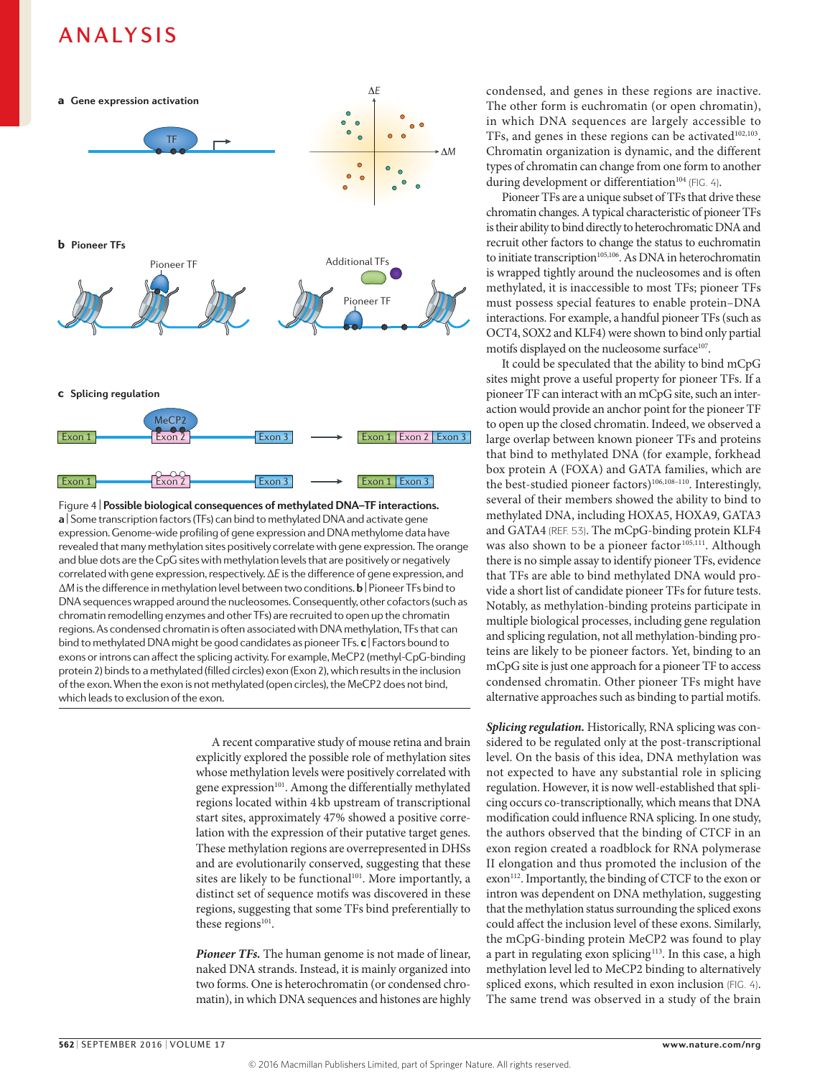

**a** | Some transcription factors (TFs) can bind to methylated DNA and activate gene Figure 4 | **Possible biological consequences of methylated DNA–TF interactions.**  expression. Genome-wide profiling of gene expression and DNA methylome data have revealed that many methylation sites positively correlate with gene expression. The orange and blue dots are the CpG sites with methylation levels that are positively or negatively correlated with gene expression, respectively. Δ*E* is the difference of gene expression, and Δ*M* is the difference in methylation level between two conditions. **b**| Pioneer TFs bind to DNA sequences wrapped around the nucleosomes. Consequently, other cofactors (such as chromatin remodelling enzymes and other TFs) are recruited to open up the chromatin regions. As condensed chromatin is often associated with DNA methylation, TFs that can bind to methylated DNA might be good candidates as pioneer TFs. **c** | Factors bound to exons or introns can affect the splicing activity. For example, MeCP2 (methyl-CpG-binding protein 2) binds to a methylated (filled circles) exon (Exon 2), which results in the inclusion of the exon. When the exon is not methylated (open circles), the MeCP2 does not bind, which leads to exclusion of the exon.

A recent comparative study of mouse retina and brain explicitly explored the possible role of methylation sites whose methylation levels were positively correlated with gene expression<sup>101</sup>. Among the differentially methylated regions located within 4kb upstream of transcriptional start sites, approximately 47% showed a positive correlation with the expression of their putative target genes. These methylation regions are overrepresented in DHSs and are evolutionarily conserved, suggesting that these sites are likely to be functional<sup>101</sup>. More importantly, a distinct set of sequence motifs was discovered in these regions, suggesting that some TFs bind preferentially to these regions<sup>101</sup>.

*Pioneer TFs.* The human genome is not made of linear, naked DNA strands. Instead, it is mainly organized into two forms. One is heterochromatin (or condensed chromatin), in which DNA sequences and histones are highly condensed, and genes in these regions are inactive. The other form is euchromatin (or open chromatin), in which DNA sequences are largely accessible to TFs, and genes in these regions can be activated $102,103$ . Chromatin organization is dynamic, and the different types of chromatin can change from one form to another during development or differentiation<sup>104</sup> (FIG. 4).

Pioneer TFs are a unique subset of TFs that drive these chromatin changes. A typical characteristic of pioneer TFs is their ability to bind directly to heterochromatic DNA and recruit other factors to change the status to euchromatin to initiate transcription<sup>105,106</sup>. As DNA in heterochromatin is wrapped tightly around the nucleosomes and is often methylated, it is inaccessible to most TFs; pioneer TFs must possess special features to enable protein–DNA interactions. For example, a handful pioneer TFs (such as OCT4, SOX2 and KLF4) were shown to bind only partial motifs displayed on the nucleosome surface<sup>107</sup>.

It could be speculated that the ability to bind mCpG sites might prove a useful property for pioneer TFs. If a pioneer TF can interact with an mCpG site, such an interaction would provide an anchor point for the pioneer TF to open up the closed chromatin. Indeed, we observed a large overlap between known pioneer TFs and proteins that bind to methylated DNA (for example, forkhead box protein A (FOXA) and GATA families, which are the best-studied pioneer factors)<sup>106,108-110</sup>. Interestingly, several of their members showed the ability to bind to methylated DNA, including HOXA5, HOXA9, GATA3 and GATA4 (REF. 53). The mCpG-binding protein KLF4 was also shown to be a pioneer factor<sup>105,111</sup>. Although there is no simple assay to identify pioneer TFs, evidence that TFs are able to bind methylated DNA would provide a short list of candidate pioneer TFs for future tests. Notably, as methylation-binding proteins participate in multiple biological processes, including gene regulation and splicing regulation, not all methylation-binding proteins are likely to be pioneer factors. Yet, binding to an mCpG site is just one approach for a pioneer TF to access condensed chromatin. Other pioneer TFs might have alternative approaches such as binding to partial motifs.

*Splicing regulation.* Historically, RNA splicing was considered to be regulated only at the post-transcriptional level. On the basis of this idea, DNA methylation was not expected to have any substantial role in splicing regulation. However, it is now well-established that splicing occurs co-transcriptionally, which means that DNA modification could influence RNA splicing. In one study, the authors observed that the binding of CTCF in an exon region created a roadblock for RNA polymerase II elongation and thus promoted the inclusion of the exon<sup>112</sup>. Importantly, the binding of CTCF to the exon or intron was dependent on DNA methylation, suggesting that the methylation status surrounding the spliced exons could affect the inclusion level of these exons. Similarly, the mCpG-binding protein MeCP2 was found to play a part in regulating exon splicing<sup>113</sup>. In this case, a high methylation level led to MeCP2 binding to alternatively spliced exons, which resulted in exon inclusion (FIG. 4). The same trend was observed in a study of the brain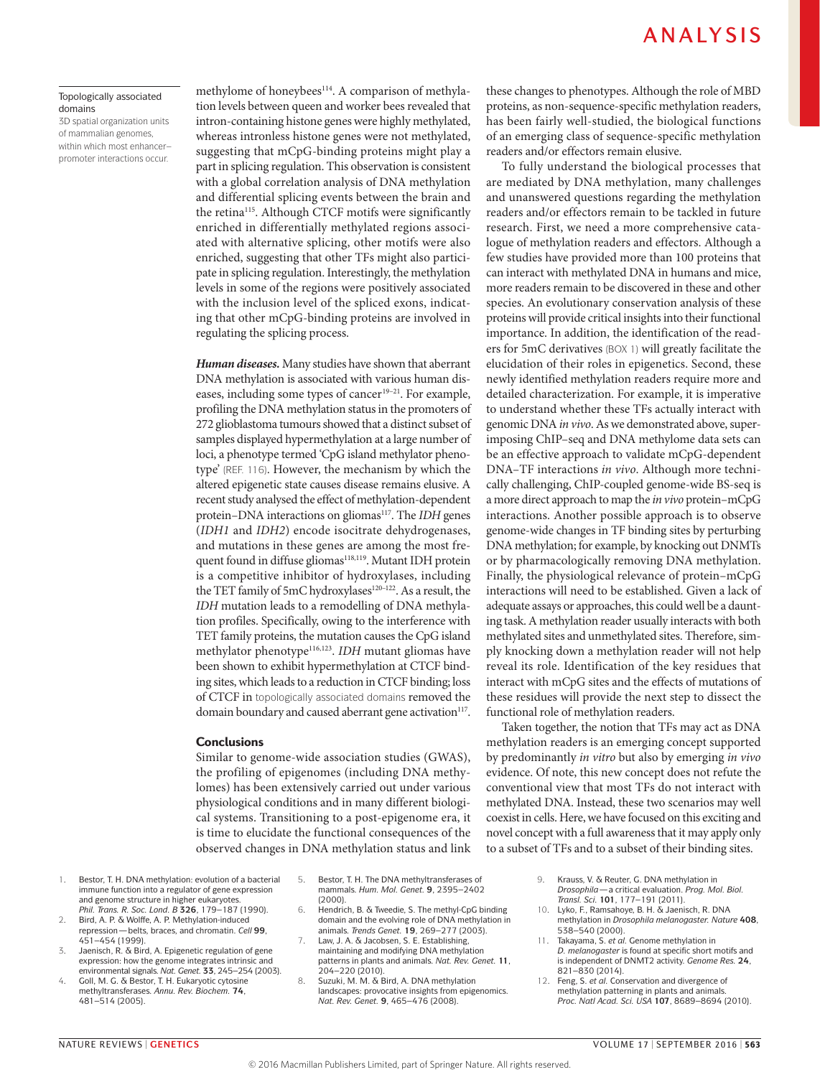#### Topologically associated domains

3D spatial organization units of mammalian genomes, within which most enhancer– promoter interactions occur.

methylome of honeybees<sup>114</sup>. A comparison of methylation levels between queen and worker bees revealed that intron-containing histone genes were highly methylated, whereas intronless histone genes were not methylated, suggesting that mCpG-binding proteins might play a part in splicing regulation. This observation is consistent with a global correlation analysis of DNA methylation and differential splicing events between the brain and the retina<sup>115</sup>. Although CTCF motifs were significantly enriched in differentially methylated regions associated with alternative splicing, other motifs were also enriched, suggesting that other TFs might also participate in splicing regulation. Interestingly, the methylation levels in some of the regions were positively associated with the inclusion level of the spliced exons, indicating that other mCpG-binding proteins are involved in regulating the splicing process.

*Human diseases.* Many studies have shown that aberrant DNA methylation is associated with various human diseases, including some types of cancer<sup>19-21</sup>. For example, profiling the DNA methylation status in the promoters of 272 glioblastoma tumours showed that a distinct subset of samples displayed hypermethylation at a large number of loci, a phenotype termed 'CpG island methylator phenotype' (REF. 116). However, the mechanism by which the altered epigenetic state causes disease remains elusive. A recent study analysed the effect of methylation-dependent protein–DNA interactions on gliomas<sup>117</sup>. The *IDH* genes (*IDH1* and *IDH2*) encode isocitrate dehydrogenases, and mutations in these genes are among the most frequent found in diffuse gliomas<sup>118,119</sup>. Mutant IDH protein is a competitive inhibitor of hydroxylases, including the TET family of 5mC hydroxylases<sup>120-122</sup>. As a result, the *IDH* mutation leads to a remodelling of DNA methylation profiles. Specifically, owing to the interference with TET family proteins, the mutation causes the CpG island methylator phenotype116,123. *IDH* mutant gliomas have been shown to exhibit hypermethylation at CTCF binding sites, which leads to a reduction in CTCF binding; loss of CTCF in topologically associated domains removed the domain boundary and caused aberrant gene activation<sup>117</sup>.

### **Conclusions**

Similar to genome-wide association studies (GWAS), the profiling of epigenomes (including DNA methylomes) has been extensively carried out under various physiological conditions and in many different biological systems. Transitioning to a post-epigenome era, it is time to elucidate the functional consequences of the observed changes in DNA methylation status and link these changes to phenotypes. Although the role of MBD proteins, as non-sequence-specific methylation readers, has been fairly well-studied, the biological functions of an emerging class of sequence-specific methylation readers and/or effectors remain elusive.

To fully understand the biological processes that are mediated by DNA methylation, many challenges and unanswered questions regarding the methylation readers and/or effectors remain to be tackled in future research. First, we need a more comprehensive catalogue of methylation readers and effectors. Although a few studies have provided more than 100 proteins that can interact with methylated DNA in humans and mice, more readers remain to be discovered in these and other species. An evolutionary conservation analysis of these proteins will provide critical insights into their functional importance. In addition, the identification of the readers for 5mC derivatives (BOX 1) will greatly facilitate the elucidation of their roles in epigenetics. Second, these newly identified methylation readers require more and detailed characterization. For example, it is imperative to understand whether these TFs actually interact with genomic DNA *in vivo*. As we demonstrated above, superimposing ChIP–seq and DNA methylome data sets can be an effective approach to validate mCpG-dependent DNA–TF interactions *in vivo*. Although more technically challenging, ChIP-coupled genome-wide BS-seq is a more direct approach to map the *in vivo* protein–mCpG interactions. Another possible approach is to observe genome-wide changes in TF binding sites by perturbing DNA methylation; for example, by knocking out DNMTs or by pharmacologically removing DNA methylation. Finally, the physiological relevance of protein–mCpG interactions will need to be established. Given a lack of adequate assays or approaches, this could well be a daunting task. A methylation reader usually interacts with both methylated sites and unmethylated sites. Therefore, simply knocking down a methylation reader will not help reveal its role. Identification of the key residues that interact with mCpG sites and the effects of mutations of these residues will provide the next step to dissect the functional role of methylation readers.

Taken together, the notion that TFs may act as DNA methylation readers is an emerging concept supported by predominantly *in vitro* but also by emerging *in vivo* evidence. Of note, this new concept does not refute the conventional view that most TFs do not interact with methylated DNA. Instead, these two scenarios may well coexist in cells. Here, we have focused on this exciting and novel concept with a full awareness that it may apply only to a subset of TFs and to a subset of their binding sites.

- 1. Bestor, T. H. DNA methylation: evolution of a bacterial immune function into a regulator of gene expression and genome structure in higher eukaryotes. *Phil. Trans. R. Soc. Lond. B* **326**, 179–187 (1990).
- 2. Bird, A. P. & Wolffe, A. P. Methylation-induced repression—belts, braces, and chromatin. *Cell* **99**, 451–454 (1999).
- 3. Jaenisch, R. & Bird, A. Epigenetic regulation of gene expression: how the genome integrates intrinsic and environmental signals. *Nat. Genet.* **33**, 245–254 (2003).
- 4. Goll, M. G. & Bestor, T. H. Eukaryotic cytosine methyltransferases. *Annu. Rev. Biochem.* **74**, 481–514 (2005).
- 5. Bestor, T. H. The DNA methyltransferases of mammals. *Hum. Mol. Genet.* **9**, 2395–2402 (2000).
- 6. Hendrich, B. & Tweedie, S. The methyl-CpG binding domain and the evolving role of DNA methylation in animals. *Trends Genet.* **19**, 269–277 (2003).
- Law, J. A. & Jacobsen, S. E. Establishing, maintaining and modifying DNA methylation patterns in plants and animals. *Nat. Rev. Genet.* **11**, 204–220 (2010).
- 8. Suzuki, M. M. & Bird, A. DNA methylation landscapes: provocative insights from epigenomics. *Nat. Rev. Genet.* **9**, 465–476 (2008).
- 9. Krauss, V. & Reuter, G. DNA methylation in *Drosophila*—a critical evaluation. *Prog. Mol. Biol. Transl. Sci.* **101**, 177–191 (2011).
- 10. Lyko, F., Ramsahoye, B. H. & Jaenisch, R. DNA methylation in *Drosophila melanogaster. Nature* **408**, 538–540 (2000).
- 11. Takayama, S. *et al.* Genome methylation in *D. melanogaster* is found at specific short motifs and is independent of DNMT2 activity. *Genome Res.* **24**, 821–830 (2014).
- 12. Feng, S. *et al.* Conservation and divergence of methylation patterning in plants and animals. *Proc. Natl Acad. Sci. USA* **107**, 8689–8694 (2010).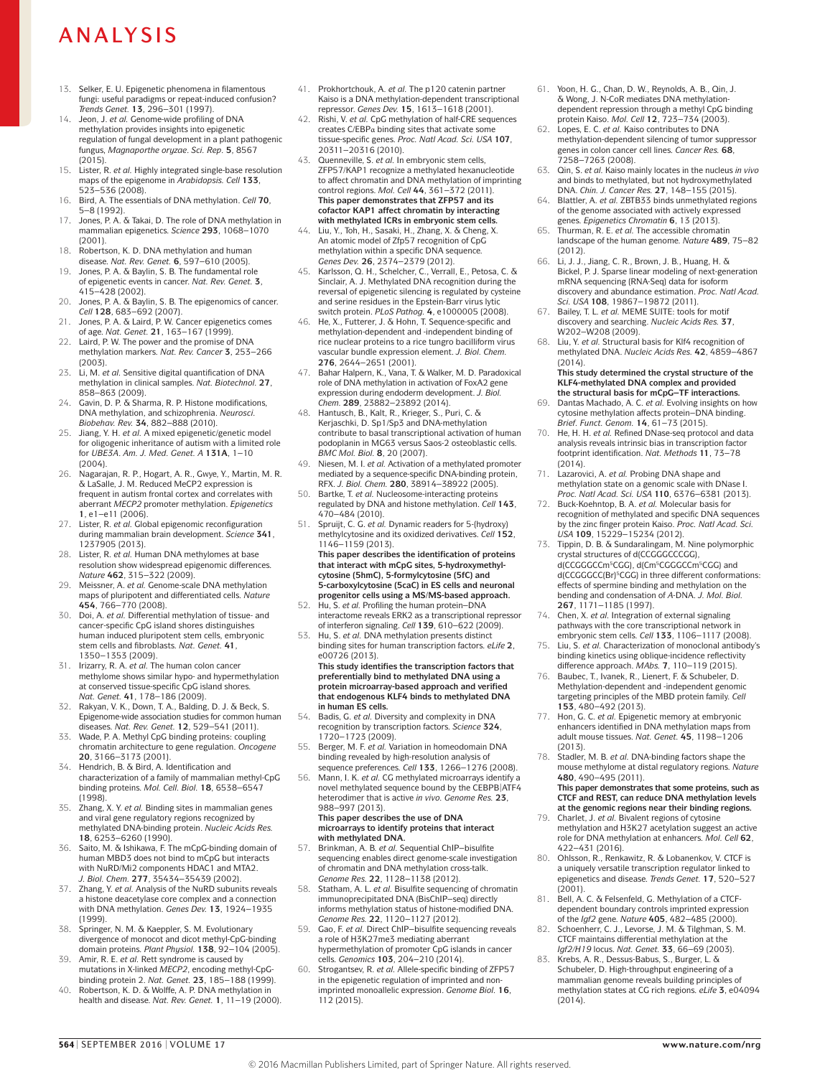- 13. Selker, E. U. Epigenetic phenomena in filamentous fungi: useful paradigms or repeat-induced confusion? *Trends Genet.* **13**, 296–301 (1997).
- 14. Jeon, J. *et al.* Genome-wide profiling of DNA methylation provides insights into epigenetic regulation of fungal development in a plant pathogenic fungus, *Magnaporthe oryzae*. *Sci. Rep.* **5**, 8567 (2015).
- 15. Lister, R. *et al.* Highly integrated single-base resolution maps of the epigenome in *Arabidopsis. Cell* **133**, 523–536 (2008).
- 16. Bird, A. The essentials of DNA methylation. *Cell* **70**, 5–8 (1992).
- 17. Jones, P. A. & Takai, D. The role of DNA methylation in mammalian epigenetics. *Science* **293**, 1068–1070 (2001).
- 18. Robertson, K. D. DNA methylation and human disease. *Nat. Rev. Genet.* **6**, 597–610 (2005).
- 19. Jones, P. A. & Baylin, S. B. The fundamental role of epigenetic events in cancer. *Nat. Rev. Genet.* **3**, 415–428 (2002).
- 20. Jones, P. A. & Baylin, S. B. The epigenomics of cancer. *Cell* **128**, 683–692 (2007).
- 21. Jones, P. A. & Laird, P. W. Cancer epigenetics comes of age. *Nat. Genet.* **21**, 163–167 (1999).
- 22. Laird, P. W. The power and the promise of DNA methylation markers. *Nat. Rev. Cancer* **3**, 253–266 (2003).
- 23. Li, M. *et al.* Sensitive digital quantification of DNA methylation in clinical samples. *Nat. Biotechnol.* **27**, 858–863 (2009).
- 24. Gavin, D. P. & Sharma, R. P. Histone modifications, DNA methylation, and schizophrenia. *Neurosci. Biobehav. Rev.* **34**, 882–888 (2010).
- 25. Jiang, Y. H. *et al.* A mixed epigenetic/genetic model for oligogenic inheritance of autism with a limited role for *UBE3A*. *Am. J. Med. Genet. A* **131A**, 1–10  $(2004)$
- 26. Nagarajan, R. P., Hogart, A. R., Gwye, Y., Martin, M. R. & LaSalle, J. M. Reduced MeCP2 expression is frequent in autism frontal cortex and correlates with aberrant *MECP2* promoter methylation. *Epigenetics*  **1**, e1–e11 (2006).
- 27. Lister, R. *et al.* Global epigenomic reconfiguration during mammalian brain development. *Science* **341**, 1237905 (2013).
- 28. Lister, R. *et al.* Human DNA methylomes at base resolution show widespread epigenomic differences. *Nature* **462**, 315–322 (2009).
- Meissner, A. *et al.* Genome-scale DNA methylation maps of pluripotent and differentiated cells. *Nature*  **454**, 766–770 (2008).
- 30. Doi, A. *et al.* Differential methylation of tissue- and cancer-specific CpG island shores distinguishes human induced pluripotent stem cells, embryonic stem cells and fibroblasts. *Nat. Genet.* **41**, 1350–1353 (2009).
- 31. Irizarry, R. A. *et al.* The human colon cancer methylome shows similar hypo- and hypermethylation at conserved tissue-specific CpG island shores. *Nat. Genet.* **41**, 178–186 (2009).
- 32. Rakyan, V. K., Down, T. A., Balding, D. J. & Beck, S. Epigenome-wide association studies for common human
- diseases. *Nat. Rev. Genet.* **12**, 529–541 (2011). 33. Wade, P. A. Methyl CpG binding proteins: coupling chromatin architecture to gene regulation. *Oncogene*  **20**, 3166–3173 (2001).
- Hendrich, B. & Bird, A. Identification and characterization of a family of mammalian methyl-CpG binding proteins. *Mol. Cell. Biol.* **18**, 6538–6547 (1998).
- 35. Zhang, X. Y. *et al.* Binding sites in mammalian genes and viral gene regulatory regions recognized by methylated DNA-binding protein. *Nucleic Acids Res.*  **18**, 6253–6260 (1990).
- 36. Saito, M. & Ishikawa, F. The mCpG-binding domain of human MBD3 does not bind to mCpG but interacts with NuRD/Mi2 components HDAC1 and MTA2. *J. Biol. Chem.* **277**, 35434–35439 (2002).
- 37. Zhang, Y. *et al.* Analysis of the NuRD subunits reveals a histone deacetylase core complex and a connection with DNA methylation. *Genes Dev.* **13**, 1924–1935 (1999).
- 38. Springer, N. M. & Kaeppler, S. M. Evolutionary divergence of monocot and dicot methyl-CpG-binding domain proteins. *Plant Physiol.* **138**, 92–104 (2005).
- 39. Amir, R. E. *et al.* Rett syndrome is caused by mutations in X-linked *MECP2*, encoding methyl-CpGbinding protein 2. *Nat. Genet.* **23**, 185–188 (1999).
- 40. Robertson, K. D. & Wolffe, A. P. DNA methylation in health and disease. *Nat. Rev. Genet.* **1**, 11–19 (2000).
- 41. Prokhortchouk, A. *et al.* The p120 catenin partner Kaiso is a DNA methylation-dependent transcriptional repressor. *Genes Dev.* **15**, 1613–1618 (2001).
- 42. Rishi, V. *et al.* CpG methylation of half-CRE sequences creates C/EBPα binding sites that activate some tissue-specific genes. *Proc. Natl Acad. Sci. USA* **107**, 20311–20316 (2010).
- 43. Quenneville, S. *et al.* In embryonic stem cells, ZFP57/KAP1 recognize a methylated hexanucleotide to affect chromatin and DNA methylation of imprinting control regions. *Mol. Cell* **44**, 361–372 (2011). **This paper demonstrates that ZFP57 and its cofactor KAP1 affect chromatin by interacting with methylated ICRs in embryonic stem cells.**
- 44. Liu, Y., Toh, H., Sasaki, H., Zhang, X. & Cheng, X. An atomic model of Zfp57 recognition of CpG methylation within a specific DNA sequence. *Genes Dev.* **26**, 2374–2379 (2012).
- 45. Karlsson, Q. H., Schelcher, C., Verrall, E., Petosa, C. & Sinclair, A. J. Methylated DNA recognition during the reversal of epigenetic silencing is regulated by cysteine and serine residues in the Epstein-Barr virus lytic switch protein. *PLoS Pathog.* **4**, e1000005 (2008).
- 46. He, X., Futterer, J. & Hohn, T. Sequence-specific and methylation-dependent and -independent binding of rice nuclear proteins to a rice tungro bacilliform virus vascular bundle expression element. *J. Biol. Chem.*  **276**, 2644–2651 (2001).
- 47. Bahar Halpern, K., Vana, T. & Walker, M. D. Paradoxical role of DNA methylation in activation of FoxA2 gene expression during endoderm development. *J. Biol. Chem.* **289**, 23882–23892 (2014).
- 48. Hantusch, B., Kalt, R., Krieger, S., Puri, C. & Kerjaschki, D. Sp1/Sp3 and DNA-methylation contribute to basal transcriptional activation of human podoplanin in MG63 versus Saos-2 osteoblastic cells. *BMC Mol. Biol.* **8**, 20 (2007).
- 49. Niesen, M. I. *et al.* Activation of a methylated promoter mediated by a sequence-specific DNA-binding protein, RFX. *J. Biol. Chem.* **280**, 38914–38922 (2005).
- 50. Bartke, T. *et al.* Nucleosome-interacting proteins regulated by DNA and histone methylation. *Cell* **143**, 470–484 (2010).
- Spruijt, C. G. et al. Dynamic readers for 5-(hydroxy) methylcytosine and its oxidized derivatives. *Cell* **152**, 1146–1159 (2013). **This paper describes the identification of proteins that interact with mCpG sites, 5‑hydroxymethyl‑ cytosine (5hmC), 5‑formylcytosine (5fC) and 5‑carboxylcytosine (5caC) in ES cells and neuronal progenitor cells using a MS/MS‑based approach.**
- 52. Hu, S. *et al.* Profiling the human protein–DNA interactome reveals ERK2 as a transcriptional repressor of interferon signaling. *Cell* **139**, 610–622 (2009).
- 53. Hu, S. *et al.* DNA methylation presents distinct binding sites for human transcription factors. *eLife* **2**, e00726 (2013).

**This study identifies the transcription factors that preferentially bind to methylated DNA using a protein microarray-based approach and verified that endogenous KLF4 binds to methylated DNA in human ES cells.**

- 54. Badis, G. *et al.* Diversity and complexity in DNA recognition by transcription factors. *Science* **324**, 1720–1723 (2009).
- 55. Berger, M. F. *et al.* Variation in homeodomain DNA binding revealed by high-resolution analysis of sequence preferences. *Cell* **133**, 1266–1276 (2008).
- 56. Mann, I. K. *et al.* CG methylated microarrays identify a novel methylated sequence bound by the CEBPB|ATF4 heterodimer that is active *in vivo. Genome Res.* **23**, 988–997 (2013). **This paper describes the use of DNA**
- **microarrays to identify proteins that interact with methylated DNA.** 57. Brinkman, A. B. *et al.* Sequential ChIP–bisulfite
- sequencing enables direct genome-scale investigation of chromatin and DNA methylation cross-talk. *Genome Res.* **22**, 1128–1138 (2012).
- 58. Statham, A. L. *et al.* Bisulfite sequencing of chromatin immunoprecipitated DNA (BisChIP–seq) directly informs methylation status of histone-modified DNA. *Genome Res.* **22**, 1120–1127 (2012).
- Gao, F. et al. Direct ChIP-bisulfite sequencing reveals a role of H3K27me3 mediating aberrant hypermethylation of promoter CpG islands in cancer cells. *Genomics* **103**, 204–210 (2014).
- 60. Strogantsev, R. *et al.* Allele-specific binding of ZFP57 in the epigenetic regulation of imprinted and nonimprinted monoallelic expression. *Genome Biol.* **16**, 112 (2015).
- 61. Yoon, H. G., Chan, D. W., Reynolds, A. B., Qin, J. & Wong, J. N-CoR mediates DNA methylationdependent repression through a methyl CpG binding protein Kaiso. *Mol. Cell* **12**, 723–734 (2003).
- 62. Lopes, E. C. *et al.* Kaiso contributes to DNA methylation-dependent silencing of tumor suppressor genes in colon cancer cell lines. *Cancer Res.* **68**, 7258–7263 (2008).
- 63. Qin, S. *et al.* Kaiso mainly locates in the nucleus *in vivo* and binds to methylated, but not hydroxymethylated DNA. *Chin. J. Cancer Res.* **27**, 148–155 (2015).
- 64. Blattler, A. *et al.* ZBTB33 binds unmethylated regions of the genome associated with actively expressed genes. *Epigenetics Chromatin* **6**, 13 (2013).
- 65. Thurman, R. E. *et al.* The accessible chromatin landscape of the human genome. *Nature* **489**, 75–82 (2012).
- 66. Li, J. J., Jiang, C. R., Brown, J. B., Huang, H. & Bickel, P. J. Sparse linear modeling of next-generation mRNA sequencing (RNA-Seq) data for isoform discovery and abundance estimation. *Proc. Natl Acad. Sci. USA* **108**, 19867–19872 (2011).
- Bailey, T. L. et al. MEME SUITE: tools for motif discovery and searching. *Nucleic Acids Res.* **37**, W202-W208 (2009)
- 68. Liu, Y. *et al.* Structural basis for Klf4 recognition of methylated DNA. *Nucleic Acids Res.* **42**, 4859–4867  $(2014)$ .

**This study determined the crystal structure of the KLF4‑methylated DNA complex and provided the structural basis for mCpG–TF interactions.**

- 69. Dantas Machado, A. C. *et al.* Evolving insights on how cytosine methylation affects protein–DNA binding. *Brief. Funct. Genom.* **14**, 61–73 (2015).
- 70. He, H. H. *et al.* Refined DNase-seq protocol and data analysis reveals intrinsic bias in transcription factor footprint identification. *Nat. Methods* **11**, 73–78 (2014).
- 71. Lazarovici, A. *et al.* Probing DNA shape and methylation state on a genomic scale with DNase I. *Proc. Natl Acad. Sci. USA* **110**, 6376–6381 (2013).
- 72. Buck-Koehntop, B. A. *et al.* Molecular basis for recognition of methylated and specific DNA sequences by the zinc finger protein Kaiso. *Proc. Natl Acad. Sci. USA* **109**, 15229–15234 (2012).
- Tippin, D. B. & Sundaralingam, M. Nine polymorphic crystal structures of d(CCGGGCCCGG), d(CCGGCCCm<sup>5</sup>CGG), d(Cm<sup>5</sup>CGGGCCm<sup>5</sup>CGG) and d(CCGGCC(Br)<sup>5</sup>CGG) in three different conformations: effects of spermine binding and methylation on the bending and condensation of *A*-DNA. *J. Mol. Biol.*  **267**, 1171–1185 (1997).
- 74. Chen, X. *et al.* Integration of external signaling pathways with the core transcriptional network in embryonic stem cells. *Cell* **133**, 1106–1117 (2008).
- 75. Liu, S. *et al.* Characterization of monoclonal antibody's binding kinetics using oblique-incidence reflectivity
- difference approach. *MAbs.* **7**, 110–119 (2015). 76. Baubec, T., Ivanek, R., Lienert, F. & Schubeler, D. Methylation-dependent and -independent genomic targeting principles of the MBD protein family. *Cell*  **153**, 480–492 (2013).
- 77. Hon, G. C. *et al.* Epigenetic memory at embryonic enhancers identified in DNA methylation maps from adult mouse tissues. *Nat. Genet.* **45**, 1198–1206 (2013).
- 78. Stadler, M. B. *et al.* DNA-binding factors shape the mouse methylome at distal regulatory regions. *Nature*  **480**, 490–495 (2011). **This paper demonstrates that some proteins, such as**

**CTCF and REST, can reduce DNA methylation levels at the genomic regions near their binding regions.** 79. Charlet, J. *et al.* Bivalent regions of cytosine methylation and H3K27 acetylation suggest an active

- role for DNA methylation at enhancers. *Mol. Cell* **62**, 422–431 (2016). 80. Ohlsson, R., Renkawitz, R. & Lobanenkov, V. CTCF is
- a uniquely versatile transcription regulator linked to epigenetics and disease. *Trends Genet.* **17**, 520–527 (2001).
- 81. Bell, A. C. & Felsenfeld, G. Methylation of a CTCFdependent boundary controls imprinted expression of the *Igf2* gene. *Nature* **405**, 482–485 (2000).
- Schoenherr, C. J., Levorse, J. M. & Tilghman, S. M. CTCF maintains differential methylation at the *Igf2/H19* locus. *Nat. Genet.* **33**, 66–69 (2003).
- 83. Krebs, A. R., Dessus-Babus, S., Burger, L. & Schubeler, D. High-throughput engineering of a mammalian genome reveals building principles of methylation states at CG rich regions. *eLife* **3**, e04094  $(2014)$